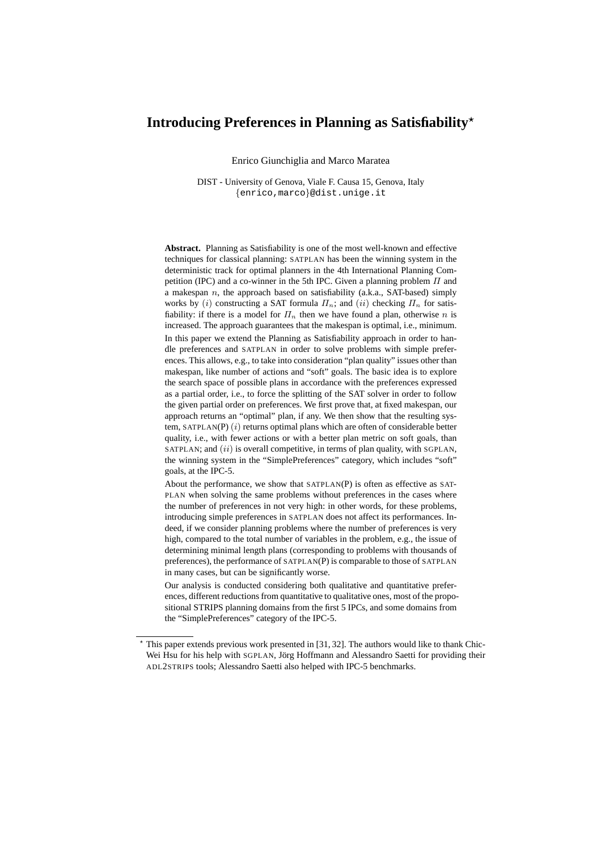# Introducing Preferences in Planning as Satisfiability<sup>\*</sup>

Enrico Giunchiglia and Marco Maratea

DIST - University of Genova, Viale F. Causa 15, Genova, Italy {enrico,marco}@dist.unige.it

**Abstract.** Planning as Satisfiability is one of the most well-known and effective techniques for classical planning: SATPLAN has been the winning system in the deterministic track for optimal planners in the 4th International Planning Competition (IPC) and a co-winner in the 5th IPC. Given a planning problem  $\Pi$  and a makespan  $n$ , the approach based on satisfiability (a.k.a., SAT-based) simply works by (i) constructing a SAT formula  $\Pi_n$ ; and (ii) checking  $\Pi_n$  for satisfiability: if there is a model for  $\Pi_n$  then we have found a plan, otherwise n is increased. The approach guarantees that the makespan is optimal, i.e., minimum. In this paper we extend the Planning as Satisfiability approach in order to handle preferences and SATPLAN in order to solve problems with simple preferences. This allows, e.g., to take into consideration "plan quality" issues other than makespan, like number of actions and "soft" goals. The basic idea is to explore the search space of possible plans in accordance with the preferences expressed as a partial order, i.e., to force the splitting of the SAT solver in order to follow the given partial order on preferences. We first prove that, at fixed makespan, our approach returns an "optimal" plan, if any. We then show that the resulting system, SATPLAN(P)  $(i)$  returns optimal plans which are often of considerable better quality, i.e., with fewer actions or with a better plan metric on soft goals, than SATPLAN; and  $(ii)$  is overall competitive, in terms of plan quality, with SGPLAN, the winning system in the "SimplePreferences" category, which includes "soft" goals, at the IPC-5.

About the performance, we show that SATPLAN(P) is often as effective as SAT-PLAN when solving the same problems without preferences in the cases where the number of preferences in not very high: in other words, for these problems, introducing simple preferences in SATPLAN does not affect its performances. Indeed, if we consider planning problems where the number of preferences is very high, compared to the total number of variables in the problem, e.g., the issue of determining minimal length plans (corresponding to problems with thousands of preferences), the performance of SATPLAN(P) is comparable to those of SATPLAN in many cases, but can be significantly worse.

Our analysis is conducted considering both qualitative and quantitative preferences, different reductions from quantitative to qualitative ones, most of the propositional STRIPS planning domains from the first 5 IPCs, and some domains from the "SimplePreferences" category of the IPC-5.

 $*$  This paper extends previous work presented in [31, 32]. The authors would like to thank Chic-Wei Hsu for his help with SGPLAN, Jörg Hoffmann and Alessandro Saetti for providing their ADL2STRIPS tools; Alessandro Saetti also helped with IPC-5 benchmarks.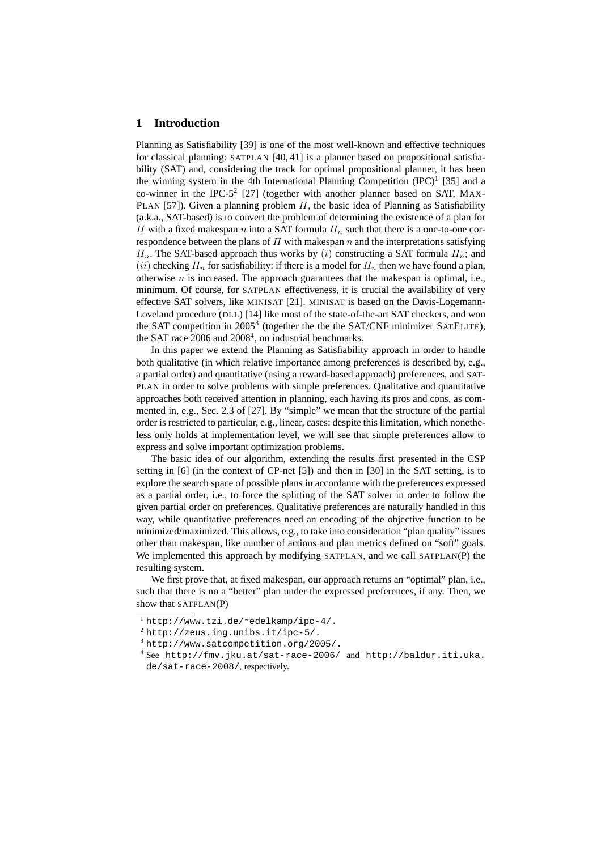#### **1 Introduction**

Planning as Satisfiability [39] is one of the most well-known and effective techniques for classical planning: SATPLAN [40, 41] is a planner based on propositional satisfiability (SAT) and, considering the track for optimal propositional planner, it has been the winning system in the 4th International Planning Competition  $(IPC)^1$  [35] and a co-winner in the IPC-5<sup>2</sup> [27] (together with another planner based on SAT, MAX-PLAN [57]). Given a planning problem  $\Pi$ , the basic idea of Planning as Satisfiability (a.k.a., SAT-based) is to convert the problem of determining the existence of a plan for  $\Pi$  with a fixed makespan *n* into a SAT formula  $\Pi_n$  such that there is a one-to-one correspondence between the plans of  $\Pi$  with makespan  $n$  and the interpretations satisfying  $\Pi_n$ . The SAT-based approach thus works by (i) constructing a SAT formula  $\Pi_n$ ; and (ii) checking  $\Pi_n$  for satisfiability: if there is a model for  $\Pi_n$  then we have found a plan, otherwise  $n$  is increased. The approach guarantees that the makespan is optimal, i.e., minimum. Of course, for SATPLAN effectiveness, it is crucial the availability of very effective SAT solvers, like MINISAT [21]. MINISAT is based on the Davis-Logemann-Loveland procedure (DLL) [14] like most of the state-of-the-art SAT checkers, and won the SAT competition in 2005<sup>3</sup> (together the the the SAT/CNF minimizer SATELITE), the SAT race 2006 and 2008<sup>4</sup>, on industrial benchmarks.

In this paper we extend the Planning as Satisfiability approach in order to handle both qualitative (in which relative importance among preferences is described by, e.g., a partial order) and quantitative (using a reward-based approach) preferences, and SAT-PLAN in order to solve problems with simple preferences. Qualitative and quantitative approaches both received attention in planning, each having its pros and cons, as commented in, e.g., Sec. 2.3 of [27]. By "simple" we mean that the structure of the partial order is restricted to particular, e.g., linear, cases: despite this limitation, which nonetheless only holds at implementation level, we will see that simple preferences allow to express and solve important optimization problems.

The basic idea of our algorithm, extending the results first presented in the CSP setting in [6] (in the context of CP-net [5]) and then in [30] in the SAT setting, is to explore the search space of possible plans in accordance with the preferences expressed as a partial order, i.e., to force the splitting of the SAT solver in order to follow the given partial order on preferences. Qualitative preferences are naturally handled in this way, while quantitative preferences need an encoding of the objective function to be minimized/maximized. This allows, e.g., to take into consideration "plan quality" issues other than makespan, like number of actions and plan metrics defined on "soft" goals. We implemented this approach by modifying SATPLAN, and we call SATPLAN(P) the resulting system.

We first prove that, at fixed makespan, our approach returns an "optimal" plan, i.e., such that there is no a "better" plan under the expressed preferences, if any. Then, we show that SATPLAN(P)

<sup>1</sup> http://www.tzi.de/˜edelkamp/ipc-4/.

 $2$  http://zeus.ing.unibs.it/ipc-5/.

<sup>3</sup> http://www.satcompetition.org/2005/.

<sup>4</sup> See http://fmv.jku.at/sat-race-2006/ and http://baldur.iti.uka. de/sat-race-2008/, respectively.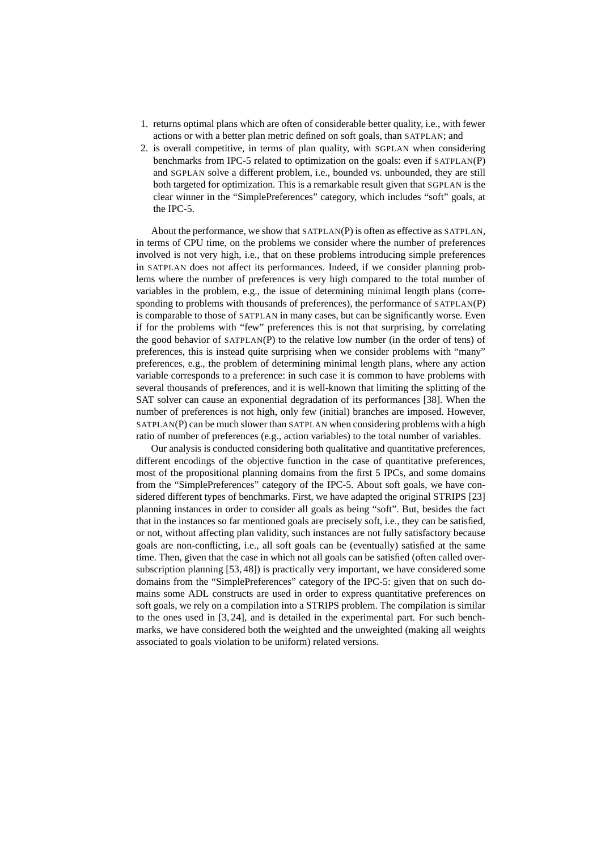- 1. returns optimal plans which are often of considerable better quality, i.e., with fewer actions or with a better plan metric defined on soft goals, than SATPLAN; and
- 2. is overall competitive, in terms of plan quality, with SGPLAN when considering benchmarks from IPC-5 related to optimization on the goals: even if SATPLAN(P) and SGPLAN solve a different problem, i.e., bounded vs. unbounded, they are still both targeted for optimization. This is a remarkable result given that SGPLAN is the clear winner in the "SimplePreferences" category, which includes "soft" goals, at the IPC-5.

About the performance, we show that SATPLAN(P) is often as effective as SATPLAN, in terms of CPU time, on the problems we consider where the number of preferences involved is not very high, i.e., that on these problems introducing simple preferences in SATPLAN does not affect its performances. Indeed, if we consider planning problems where the number of preferences is very high compared to the total number of variables in the problem, e.g., the issue of determining minimal length plans (corresponding to problems with thousands of preferences), the performance of SATPLAN(P) is comparable to those of SATPLAN in many cases, but can be significantly worse. Even if for the problems with "few" preferences this is not that surprising, by correlating the good behavior of  $SATPLAN(P)$  to the relative low number (in the order of tens) of preferences, this is instead quite surprising when we consider problems with "many" preferences, e.g., the problem of determining minimal length plans, where any action variable corresponds to a preference: in such case it is common to have problems with several thousands of preferences, and it is well-known that limiting the splitting of the SAT solver can cause an exponential degradation of its performances [38]. When the number of preferences is not high, only few (initial) branches are imposed. However, SATPLAN(P) can be much slower than SATPLAN when considering problems with a high ratio of number of preferences (e.g., action variables) to the total number of variables.

Our analysis is conducted considering both qualitative and quantitative preferences, different encodings of the objective function in the case of quantitative preferences, most of the propositional planning domains from the first 5 IPCs, and some domains from the "SimplePreferences" category of the IPC-5. About soft goals, we have considered different types of benchmarks. First, we have adapted the original STRIPS [23] planning instances in order to consider all goals as being "soft". But, besides the fact that in the instances so far mentioned goals are precisely soft, i.e., they can be satisfied, or not, without affecting plan validity, such instances are not fully satisfactory because goals are non-conflicting, i.e., all soft goals can be (eventually) satisfied at the same time. Then, given that the case in which not all goals can be satisfied (often called oversubscription planning [53, 48]) is practically very important, we have considered some domains from the "SimplePreferences" category of the IPC-5: given that on such domains some ADL constructs are used in order to express quantitative preferences on soft goals, we rely on a compilation into a STRIPS problem. The compilation is similar to the ones used in [3, 24], and is detailed in the experimental part. For such benchmarks, we have considered both the weighted and the unweighted (making all weights associated to goals violation to be uniform) related versions.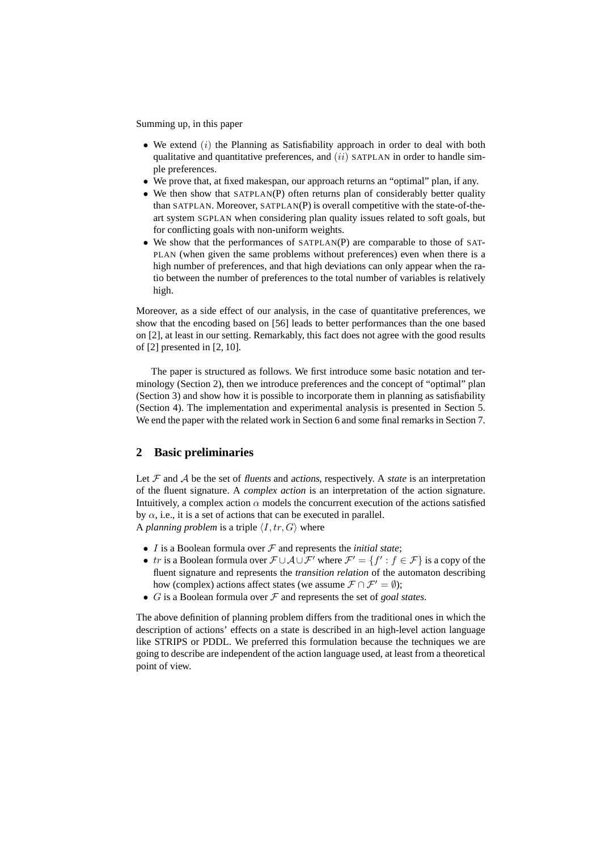Summing up, in this paper

- We extend  $(i)$  the Planning as Satisfiability approach in order to deal with both qualitative and quantitative preferences, and  $(ii)$  SATPLAN in order to handle simple preferences.
- We prove that, at fixed makespan, our approach returns an "optimal" plan, if any.
- We then show that SATPLAN(P) often returns plan of considerably better quality than SATPLAN. Moreover, SATPLAN(P) is overall competitive with the state-of-theart system SGPLAN when considering plan quality issues related to soft goals, but for conflicting goals with non-uniform weights.
- We show that the performances of SATPLAN(P) are comparable to those of SAT-PLAN (when given the same problems without preferences) even when there is a high number of preferences, and that high deviations can only appear when the ratio between the number of preferences to the total number of variables is relatively high.

Moreover, as a side effect of our analysis, in the case of quantitative preferences, we show that the encoding based on [56] leads to better performances than the one based on [2], at least in our setting. Remarkably, this fact does not agree with the good results of [2] presented in [2, 10].

The paper is structured as follows. We first introduce some basic notation and terminology (Section 2), then we introduce preferences and the concept of "optimal" plan (Section 3) and show how it is possible to incorporate them in planning as satisfiability (Section 4). The implementation and experimental analysis is presented in Section 5. We end the paper with the related work in Section 6 and some final remarks in Section 7.

## **2 Basic preliminaries**

Let  $F$  and  $\mathcal A$  be the set of fluents and actions, respectively. A *state* is an interpretation of the fluent signature. A *complex action* is an interpretation of the action signature. Intuitively, a complex action  $\alpha$  models the concurrent execution of the actions satisfied by  $\alpha$ , i.e., it is a set of actions that can be executed in parallel. A *planning problem* is a triple  $\langle I, tr, G \rangle$  where

- $I$  is a Boolean formula over  $\mathcal F$  and represents the *initial state*;
- tr is a Boolean formula over  $\mathcal{F} \cup \mathcal{A} \cup \mathcal{F}'$  where  $\mathcal{F}' = \{f' : f \in \mathcal{F}\}$  is a copy of the fluent signature and represents the *transition relation* of the automaton describing how (complex) actions affect states (we assume  $\mathcal{F} \cap \mathcal{F}' = \emptyset$ );
- G is a Boolean formula over F and represents the set of *goal states*.

The above definition of planning problem differs from the traditional ones in which the description of actions' effects on a state is described in an high-level action language like STRIPS or PDDL. We preferred this formulation because the techniques we are going to describe are independent of the action language used, at least from a theoretical point of view.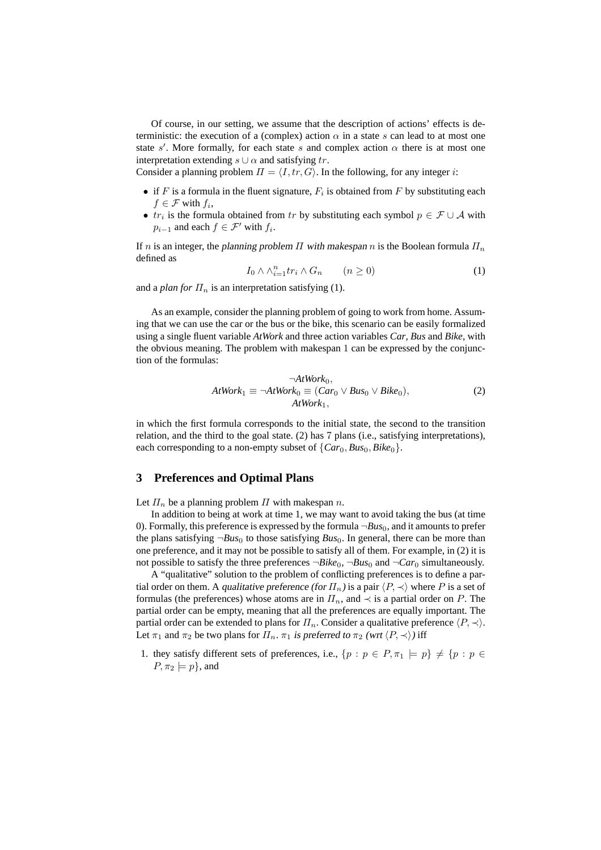Of course, in our setting, we assume that the description of actions' effects is deterministic: the execution of a (complex) action  $\alpha$  in a state s can lead to at most one state s'. More formally, for each state s and complex action  $\alpha$  there is at most one interpretation extending  $s \cup \alpha$  and satisfying tr.

Consider a planning problem  $\Pi = \langle I, tr, G \rangle$ . In the following, for any integer i:

- if F is a formula in the fluent signature,  $F_i$  is obtained from F by substituting each  $f \in \mathcal{F}$  with  $f_i$ ,
- $tr_i$  is the formula obtained from tr by substituting each symbol  $p \in \mathcal{F} \cup \mathcal{A}$  with  $p_{i-1}$  and each  $f \in \mathcal{F}'$  with  $f_i$ .

If n is an integer, the planning problem  $\Pi$  with makespan n is the Boolean formula  $\Pi_n$ defined as

$$
I_0 \wedge \wedge_{i=1}^n tr_i \wedge G_n \qquad (n \ge 0)
$$
 (1)

and a *plan for*  $\Pi_n$  is an interpretation satisfying (1).

As an example, consider the planning problem of going to work from home. Assuming that we can use the car or the bus or the bike, this scenario can be easily formalized using a single fluent variable *AtWork* and three action variables *Car*, *Bus* and *Bike*, with the obvious meaning. The problem with makespan 1 can be expressed by the conjunction of the formulas:

$$
\neg AtWork_0,AtWork_1 \equiv \neg AtWork_0 \equiv (Car_0 \lor Bus_0 \lor Bike_0),AtWork_1,
$$
\n(2)

in which the first formula corresponds to the initial state, the second to the transition relation, and the third to the goal state. (2) has 7 plans (i.e., satisfying interpretations), each corresponding to a non-empty subset of  $\{Car_0, Bus_0, Bike_0\}.$ 

#### **3 Preferences and Optimal Plans**

Let  $\Pi_n$  be a planning problem  $\Pi$  with makespan n.

In addition to being at work at time 1, we may want to avoid taking the bus (at time 0). Formally, this preference is expressed by the formula  $\neg Bus_0$ , and it amounts to prefer the plans satisfying  $\neg Bus_0$  to those satisfying  $Bus_0$ . In general, there can be more than one preference, and it may not be possible to satisfy all of them. For example, in (2) it is not possible to satisfy the three preferences  $\neg Bike_0$ ,  $\neg Bus_0$  and  $\neg Car_0$  simultaneously.

A "qualitative" solution to the problem of conflicting preferences is to define a partial order on them. A qualitative preference (for  $\Pi_n$ ) is a pair  $\langle P, \prec \rangle$  where P is a set of formulas (the preferences) whose atoms are in  $\Pi_n$ , and  $\prec$  is a partial order on P. The partial order can be empty, meaning that all the preferences are equally important. The partial order can be extended to plans for  $\Pi_n$ . Consider a qualitative preference  $\langle P, \prec \rangle$ . Let  $\pi_1$  and  $\pi_2$  be two plans for  $\Pi_n$ .  $\pi_1$  is preferred to  $\pi_2$  (wrt  $\langle P, \prec \rangle$ ) iff

1. they satisfy different sets of preferences, i.e.,  $\{p : p \in P, \pi_1 \models p\} \neq \{p : p \in P\}$  $P, \pi_2 \models p$ , and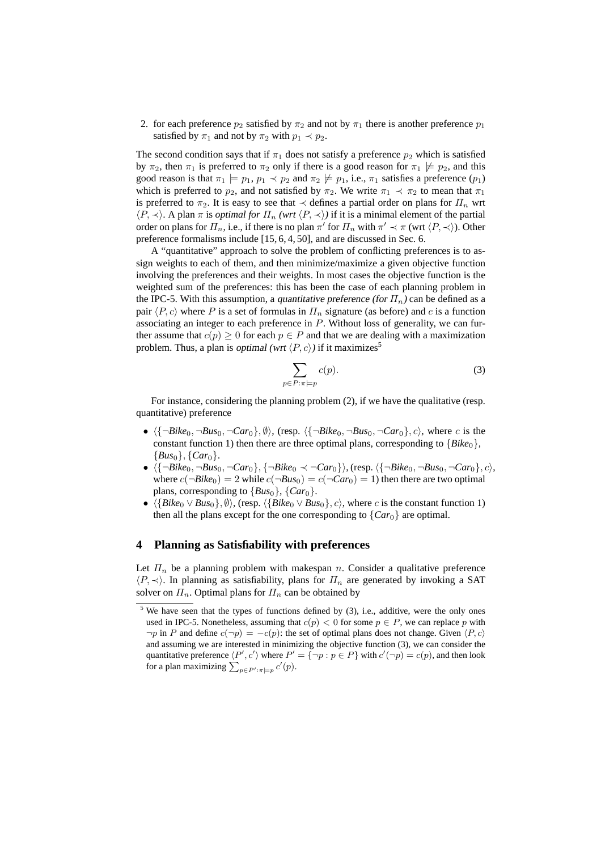2. for each preference  $p_2$  satisfied by  $\pi_2$  and not by  $\pi_1$  there is another preference  $p_1$ satisfied by  $\pi_1$  and not by  $\pi_2$  with  $p_1 \prec p_2$ .

The second condition says that if  $\pi_1$  does not satisfy a preference  $p_2$  which is satisfied by  $\pi_2$ , then  $\pi_1$  is preferred to  $\pi_2$  only if there is a good reason for  $\pi_1 \not\models p_2$ , and this good reason is that  $\pi_1 \models p_1, p_1 \prec p_2$  and  $\pi_2 \not\models p_1$ , i.e.,  $\pi_1$  satisfies a preference  $(p_1)$ which is preferred to  $p_2$ , and not satisfied by  $\pi_2$ . We write  $\pi_1 \prec \pi_2$  to mean that  $\pi_1$ is preferred to  $\pi_2$ . It is easy to see that  $\prec$  defines a partial order on plans for  $\Pi_n$  wrt  $\langle P, \prec \rangle$ . A plan  $\pi$  is *optimal for*  $\Pi_n$  *(wrt*  $\langle P, \prec \rangle$ *)* if it is a minimal element of the partial order on plans for  $\Pi_n$ , i.e., if there is no plan  $\pi'$  for  $\Pi_n$  with  $\pi' \prec \pi$  (wrt  $\langle P, \prec \rangle$ ). Other preference formalisms include [15, 6, 4, 50], and are discussed in Sec. 6.

A "quantitative" approach to solve the problem of conflicting preferences is to assign weights to each of them, and then minimize/maximize a given objective function involving the preferences and their weights. In most cases the objective function is the weighted sum of the preferences: this has been the case of each planning problem in the IPC-5. With this assumption, a quantitative preference (for  $\Pi_n$ ) can be defined as a pair  $\langle P, c \rangle$  where P is a set of formulas in  $\Pi_n$  signature (as before) and c is a function associating an integer to each preference in  $P$ . Without loss of generality, we can further assume that  $c(p) \geq 0$  for each  $p \in P$  and that we are dealing with a maximization problem. Thus, a plan is optimal (wrt  $\langle P, c \rangle$ ) if it maximizes<sup>5</sup>

$$
\sum_{p \in P: \pi \models p} c(p). \tag{3}
$$

For instance, considering the planning problem (2), if we have the qualitative (resp. quantitative) preference

- $\langle \{\neg Bike_0, \neg Bus_0, \neg Car_0\}, \emptyset \rangle$ , (resp.  $\langle \{\neg Bike_0, \neg Bus_0, \neg Car_0\}, c \rangle$ , where c is the constant function 1) then there are three optimal plans, corresponding to  ${Bike_0}$ ,  ${Bus_0}, {Car_0}.$
- $\langle {\{\neg Bike_0, \neg Bus_0, \neg Car_0\}, \{\neg Bike_0 \prec \neg Car_0\}\rangle}$ , (resp.  $\langle {\{\neg Bike_0, \neg Bus_0, \neg Car_0\}, c\rangle}$ , where  $c(\neg Bike_0) = 2$  while  $c(\neg Bus_0) = c(\neg Car_0) = 1$ ) then there are two optimal plans, corresponding to  $\{Bus_0\}$ ,  $\{Car_0\}$ .
- $\langle \{Bike_0 \vee Bus_0\}, \emptyset \rangle$ , (resp.  $\langle \{Bike_0 \vee Bus_0\}, c \rangle$ , where c is the constant function 1) then all the plans except for the one corresponding to  ${Car_0}$  are optimal.

#### **4 Planning as Satisfiability with preferences**

Let  $\Pi_n$  be a planning problem with makespan n. Consider a qualitative preference  $\langle P, \prec \rangle$ . In planning as satisfiability, plans for  $\Pi_n$  are generated by invoking a SAT solver on  $\Pi_n$ . Optimal plans for  $\Pi_n$  can be obtained by

 $5$  We have seen that the types of functions defined by (3), i.e., additive, were the only ones used in IPC-5. Nonetheless, assuming that  $c(p) < 0$  for some  $p \in P$ , we can replace p with  $\neg p$  in P and define  $c(\neg p) = -c(p)$ : the set of optimal plans does not change. Given  $\langle P, c \rangle$ and assuming we are interested in minimizing the objective function (3), we can consider the quantitative preference  $\langle P', c' \rangle$  where  $P' = \{\neg p : p \in P\}$  with  $c'(\neg p) = c(p)$ , and then look for a plan maximizing  $\sum_{p \in P': \pi \models p} c'(p)$ .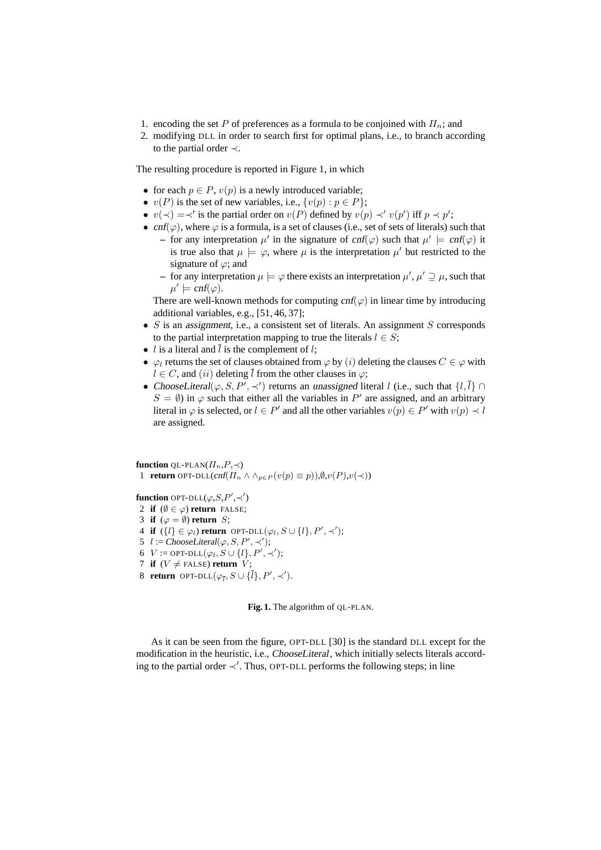- 1. encoding the set P of preferences as a formula to be conjoined with  $\Pi_n$ ; and
- 2. modifying DLL in order to search first for optimal plans, i.e., to branch according to the partial order ≺.

The resulting procedure is reported in Figure 1, in which

- for each  $p \in P$ ,  $v(p)$  is a newly introduced variable;
- $v(P)$  is the set of new variables, i.e.,  $\{v(p) : p \in P\}$ ;
- $v(\prec) = \prec'$  is the partial order on  $v(P)$  defined by  $v(p) \prec' v(p')$  iff  $p \prec p'$ ;
- cnf( $\varphi$ ), where  $\varphi$  is a formula, is a set of clauses (i.e., set of sets of literals) such that
	- **–** for any interpretation  $\mu'$  in the signature of cnf( $\varphi$ ) such that  $\mu' \models \text{cnf}(\varphi)$  it is true also that  $\mu \models \varphi$ , where  $\mu$  is the interpretation  $\mu'$  but restricted to the signature of  $\varphi$ ; and
	- **−** for any interpretation  $\mu \models \varphi$  there exists an interpretation  $\mu', \mu' \supseteq \mu$ , such that  $\mu' \models \text{cnf}(\varphi).$

There are well-known methods for computing  $cnf(\varphi)$  in linear time by introducing additional variables, e.g., [51, 46, 37];

- $S$  is an assignment, i.e., a consistent set of literals. An assignment  $S$  corresponds to the partial interpretation mapping to true the literals  $l \in S$ ;
- *l* is a literal and  $\overline{l}$  is the complement of *l*;
- $\varphi_l$  returns the set of clauses obtained from  $\varphi$  by  $(i)$  deleting the clauses  $C \in \varphi$  with  $l \in C$ , and  $(ii)$  deleting  $\overline{l}$  from the other clauses in  $\varphi$ ;
- ChooseLiteral( $\varphi, S, P', \prec'$ ) returns an unassigned literal l (i.e., such that  $\{l, \overline{l}\} \cap$  $S = \emptyset$ ) in  $\varphi$  such that either all the variables in P' are assigned, and an arbitrary literal in  $\varphi$  is selected, or  $l \in P'$  and all the other variables  $v(p) \in P'$  with  $v(p) \prec l$ are assigned.

**function** OL-PLAN $(\Pi_n, P, \prec)$ 1 **return** OPT-DLL(cnf( $\Pi_n \wedge \wedge_{p \in P} (v(p) \equiv p)$ ), $\emptyset, v(P), v(\prec)$ )

**function** OPT-DLL $(\varphi, S, P', \prec')$ 

- 2 **if**  $(\emptyset \in \varphi)$  **return** FALSE;
- 3 **if**  $(\varphi = \emptyset)$  **return** *S*;
- 4 **if**  $({l} \in \varphi_l)$  **return** OPT-DLL $(\varphi_l, S \cup \{l\}, P', \prec')$ ;
- 5  $l := ChooseLiteral(\varphi, S, P', \prec')$ ;
- 6  $V := \text{OPT-DLL}(\varphi_l, S \cup \{l\}, P', \prec')$ ;
- 7 **if**  $(V \neq$  FALSE) **return**  $V$ ;
- 8 **return** OPT-DLL $(\varphi_{\overline{l}}, S \cup {\{\overline{l}\}}, P', \prec').$

**Fig. 1.** The algorithm of QL-PLAN.

As it can be seen from the figure, OPT-DLL [30] is the standard DLL except for the modification in the heuristic, i.e., ChooseLiteral, which initially selects literals according to the partial order ≺′ . Thus, OPT-DLL performs the following steps; in line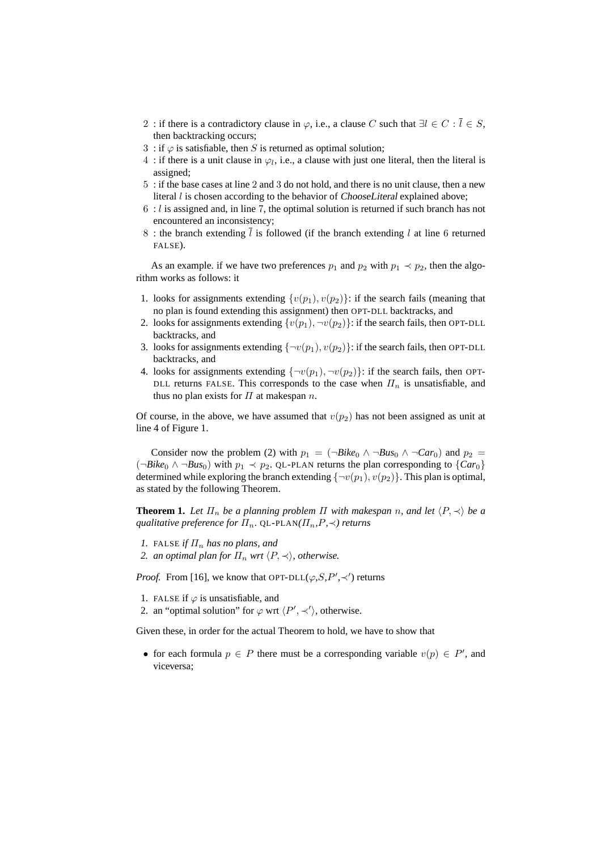- 2 : if there is a contradictory clause in  $\varphi$ , i.e., a clause C such that  $\exists l \in C : \overline{l} \in S$ , then backtracking occurs;
- 3 : if  $\varphi$  is satisfiable, then S is returned as optimal solution;
- 4 : if there is a unit clause in  $\varphi_l$ , i.e., a clause with just one literal, then the literal is assigned;
- 5 : if the base cases at line 2 and 3 do not hold, and there is no unit clause, then a new literal  $l$  is chosen according to the behavior of ChooseLiteral explained above;
- $6: l$  is assigned and, in line 7, the optimal solution is returned if such branch has not encountered an inconsistency;
- 8 : the branch extending  $\overline{l}$  is followed (if the branch extending l at line 6 returned FALSE).

As an example. if we have two preferences  $p_1$  and  $p_2$  with  $p_1 \prec p_2$ , then the algorithm works as follows: it

- 1. looks for assignments extending  $\{v(p_1), v(p_2)\}$ : if the search fails (meaning that no plan is found extending this assignment) then OPT-DLL backtracks, and
- 2. looks for assignments extending  $\{v(p_1),\neg v(p_2)\}\$ : if the search fails, then OPT-DLL backtracks, and
- 3. looks for assignments extending  $\{\neg v(p_1), v(p_2)\}$ : if the search fails, then OPT-DLL backtracks, and
- 4. looks for assignments extending  $\{\neg v(p_1), \neg v(p_2)\}$ : if the search fails, then OPT-DLL returns FALSE. This corresponds to the case when  $\Pi_n$  is unsatisfiable, and thus no plan exists for  $\Pi$  at makespan  $n$ .

Of course, in the above, we have assumed that  $v(p_2)$  has not been assigned as unit at line 4 of Figure 1.

Consider now the problem (2) with  $p_1 = (\neg Bike_0 \land \neg Bus_0 \land \neg Car_0)$  and  $p_2 =$ ( $\neg Bike_0$  ∧  $\neg Bus_0$ ) with  $p_1 \prec p_2$ . QL-PLAN returns the plan corresponding to {*Car*<sub>0</sub>} determined while exploring the branch extending  $\{\neg v(p_1), v(p_2)\}\.$  This plan is optimal, as stated by the following Theorem.

**Theorem 1.** Let  $\Pi_n$  be a planning problem  $\Pi$  with makespan n, and let  $\langle P, \prec \rangle$  be a *qualitative preference for*  $\Pi_n$ . QL-PLAN( $\Pi_n$ *,P*,  $\prec$ ) *returns* 

- *1.* FALSE *if*  $\Pi_n$  *has no plans, and*
- *2. an optimal plan for*  $\Pi_n$  *wrt*  $\langle P, \prec \rangle$ *, otherwise.*

*Proof.* From [16], we know that OPT-DLL $(\varphi, S, P', \prec')$  returns

- 1. FALSE if  $\varphi$  is unsatisfiable, and
- 2. an "optimal solution" for  $\varphi$  wrt  $\langle P', \prec' \rangle$ , otherwise.

Given these, in order for the actual Theorem to hold, we have to show that

• for each formula  $p \in P$  there must be a corresponding variable  $v(p) \in P'$ , and viceversa;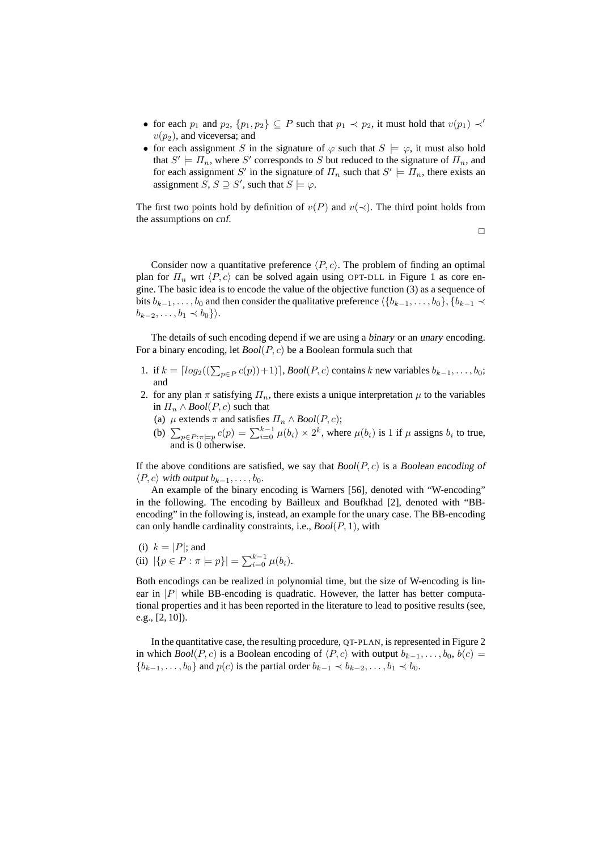- for each  $p_1$  and  $p_2$ ,  $\{p_1, p_2\} \subseteq P$  such that  $p_1 \prec p_2$ , it must hold that  $v(p_1) \prec'$  $v(p_2)$ , and viceversa; and
- for each assignment S in the signature of  $\varphi$  such that  $S \models \varphi$ , it must also hold that  $S' \models \Pi_n$ , where S' corresponds to S but reduced to the signature of  $\Pi_n$ , and for each assignment S' in the signature of  $\Pi_n$  such that  $S' \models \Pi_n$ , there exists an assignment  $S, S \supseteq S'$ , such that  $S \models \varphi$ .

The first two points hold by definition of  $v(P)$  and  $v(\prec)$ . The third point holds from the assumptions on cnf.

 $\Box$ 

Consider now a quantitative preference  $\langle P, c \rangle$ . The problem of finding an optimal plan for  $\Pi_n$  wrt  $\langle P, c \rangle$  can be solved again using OPT-DLL in Figure 1 as core engine. The basic idea is to encode the value of the objective function (3) as a sequence of bits  $b_{k-1}, \ldots, b_0$  and then consider the qualitative preference  $\langle \{b_{k-1}, \ldots, b_0\}, \{b_{k-1} \prec$  $b_{k-2}, \ldots, b_1 \prec b_0$ }).

The details of such encoding depend if we are using a binary or an unary encoding. For a binary encoding, let *Bool*(P, c) be a Boolean formula such that

- 1. if  $k = \lfloor log_2((\sum_{p \in P} c(p)) + 1) \rfloor$ , *Bool*(*P*, *c*) contains k new variables  $b_{k-1}, \ldots, b_0$ ; and
- 2. for any plan  $\pi$  satisfying  $\Pi_n$ , there exists a unique interpretation  $\mu$  to the variables in  $\Pi_n \wedge \text{Bool}(P, c)$  such that
	- (a)  $\mu$  extends  $\pi$  and satisfies  $\Pi_n \wedge \text{Bool}(P, c)$ ;
	- (b)  $\sum_{p \in P: \pi \models p} c(p) = \sum_{i=0}^{k-1} \mu(b_i) \times 2^k$ , where  $\mu(b_i)$  is 1 if  $\mu$  assigns  $b_i$  to true, and is 0 otherwise.

If the above conditions are satisfied, we say that *Bool*(P, c) is a Boolean encoding of  $\langle P, c \rangle$  with output  $b_{k-1}, \ldots, b_0$ .

An example of the binary encoding is Warners [56], denoted with "W-encoding" in the following. The encoding by Bailleux and Boufkhad [2], denoted with "BBencoding" in the following is, instead, an example for the unary case. The BB-encoding can only handle cardinality constraints, i.e., *Bool*(P, 1), with

- (i)  $k = |P|$ ; and
- (ii)  $|\{p \in P : \pi \models p\}| = \sum_{i=0}^{k-1} \mu(b_i).$

Both encodings can be realized in polynomial time, but the size of W-encoding is linear in  $|P|$  while BB-encoding is quadratic. However, the latter has better computational properties and it has been reported in the literature to lead to positive results (see, e.g., [2, 10]).

In the quantitative case, the resulting procedure, QT-PLAN, is represented in Figure 2 in which *Bool*(P, c) is a Boolean encoding of  $\langle P, c \rangle$  with output  $b_{k-1}, \ldots, b_0, b(c)$  ${b_{k-1}, \ldots, b_0}$  and  $p(c)$  is the partial order  $b_{k-1} \prec b_{k-2}, \ldots, b_1 \prec b_0$ .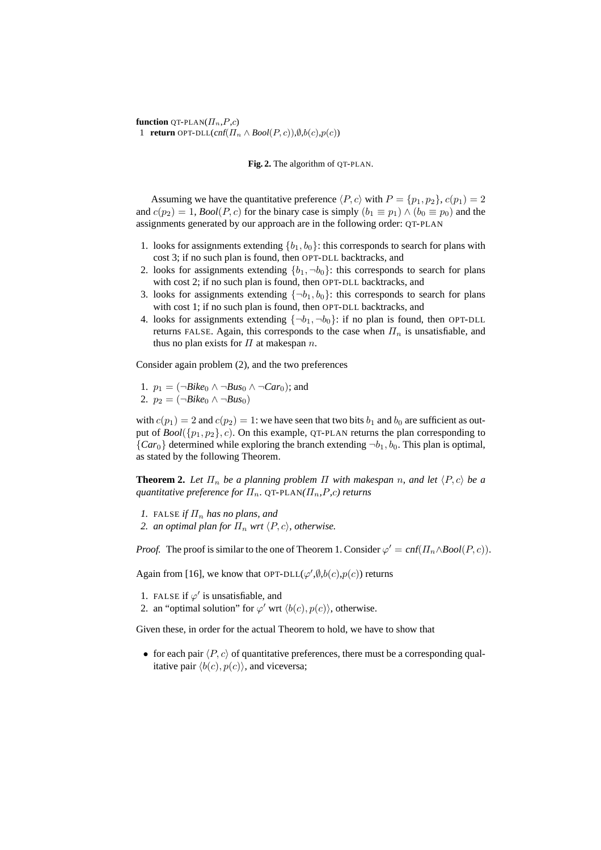**function** OT-PLAN( $\Pi_n, P, c$ ) 1 **return** OPT-DLL(cnf( $\Pi_n \wedge \text{Bool}(P, c)$ ), $\emptyset$ , $b(c)$ , $p(c)$ )

**Fig. 2.** The algorithm of QT-PLAN.

Assuming we have the quantitative preference  $\langle P, c \rangle$  with  $P = \{p_1, p_2\}, c(p_1) = 2$ and  $c(p_2) = 1$ , *Bool*(*P*, *c*) for the binary case is simply  $(b_1 \equiv p_1) \wedge (b_0 \equiv p_0)$  and the assignments generated by our approach are in the following order: QT-PLAN

- 1. looks for assignments extending  ${b_1, b_0}$ : this corresponds to search for plans with cost 3; if no such plan is found, then OPT-DLL backtracks, and
- 2. looks for assignments extending  ${b_1, \neg b_0}$ : this corresponds to search for plans with cost 2; if no such plan is found, then OPT-DLL backtracks, and
- 3. looks for assignments extending  $\{\neg b_1, b_0\}$ : this corresponds to search for plans with cost 1; if no such plan is found, then OPT-DLL backtracks, and
- 4. looks for assignments extending  $\{\neg b_1, \neg b_0\}$ : if no plan is found, then OPT-DLL returns FALSE. Again, this corresponds to the case when  $\Pi_n$  is unsatisfiable, and thus no plan exists for  $\Pi$  at makespan  $n$ .

Consider again problem (2), and the two preferences

1.  $p_1 = (\neg Bike_0 \land \neg Bus_0 \land \neg Car_0);$  and 2.  $p_2 = (\neg Bike_0 \land \neg Bus_0)$ 

with  $c(p_1) = 2$  and  $c(p_2) = 1$ : we have seen that two bits  $b_1$  and  $b_0$  are sufficient as output of  $Bool({p_1, p_2}, c)$ . On this example, QT-PLAN returns the plan corresponding to  ${Car_0}$  determined while exploring the branch extending  $\neg b_1, b_0$ . This plan is optimal, as stated by the following Theorem.

**Theorem 2.** Let  $\Pi_n$  be a planning problem  $\Pi$  with makespan n, and let  $\langle P, c \rangle$  be a *quantitative preference for*  $\Pi_n$ . QT-PLAN( $\Pi_n$ , P, c) returns

- *1.* FALSE *if*  $\Pi_n$  *has no plans, and*
- *2. an optimal plan for*  $\Pi_n$  *wrt*  $\langle P, c \rangle$ *, otherwise.*

*Proof.* The proof is similar to the one of Theorem 1. Consider  $\varphi' = \text{cnf}(H_n \wedge \text{Bool}(P, c))$ .

Again from [16], we know that OPT-DLL $(\varphi', \emptyset, b(c), p(c))$  returns

- 1. FALSE if  $\varphi'$  is unsatisfiable, and
- 2. an "optimal solution" for  $\varphi'$  wrt  $\langle b(c), p(c) \rangle$ , otherwise.

Given these, in order for the actual Theorem to hold, we have to show that

• for each pair  $\langle P, c \rangle$  of quantitative preferences, there must be a corresponding qualitative pair  $\langle b(c), p(c) \rangle$ , and viceversa;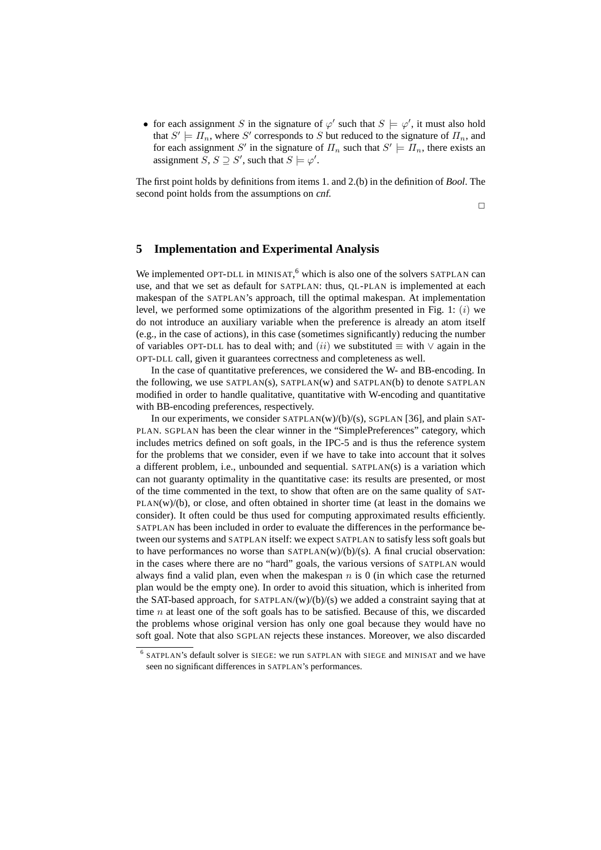• for each assignment S in the signature of  $\varphi'$  such that  $S \models \varphi'$ , it must also hold that  $S' \models \Pi_n$ , where S' corresponds to S but reduced to the signature of  $\Pi_n$ , and for each assignment S' in the signature of  $\Pi_n$  such that  $S' \models \Pi_n$ , there exists an assignment  $S, S \supseteq S'$ , such that  $S \models \varphi'$ .

The first point holds by definitions from items 1. and 2.(b) in the definition of *Bool*. The second point holds from the assumptions on cnf.

 $\Box$ 

# **5 Implementation and Experimental Analysis**

We implemented OPT-DLL in MINISAT,<sup>6</sup> which is also one of the solvers SATPLAN can use, and that we set as default for SATPLAN: thus, QL-PLAN is implemented at each makespan of the SATPLAN's approach, till the optimal makespan. At implementation level, we performed some optimizations of the algorithm presented in Fig. 1:  $(i)$  we do not introduce an auxiliary variable when the preference is already an atom itself (e.g., in the case of actions), in this case (sometimes significantly) reducing the number of variables OPT-DLL has to deal with; and  $(ii)$  we substituted  $\equiv$  with  $\vee$  again in the OPT-DLL call, given it guarantees correctness and completeness as well.

In the case of quantitative preferences, we considered the W- and BB-encoding. In the following, we use SATPLAN(s), SATPLAN(w) and SATPLAN(b) to denote SATPLAN modified in order to handle qualitative, quantitative with W-encoding and quantitative with BB-encoding preferences, respectively.

In our experiments, we consider  $SATPLAN(w)/(b)/(s)$ ,  $SGPLAN [36]$ , and plain SAT-PLAN. SGPLAN has been the clear winner in the "SimplePreferences" category, which includes metrics defined on soft goals, in the IPC-5 and is thus the reference system for the problems that we consider, even if we have to take into account that it solves a different problem, i.e., unbounded and sequential. SATPLAN(s) is a variation which can not guaranty optimality in the quantitative case: its results are presented, or most of the time commented in the text, to show that often are on the same quality of SAT- $PLAN(w)/(b)$ , or close, and often obtained in shorter time (at least in the domains we consider). It often could be thus used for computing approximated results efficiently. SATPLAN has been included in order to evaluate the differences in the performance between our systems and SATPLAN itself: we expect SATPLAN to satisfy less soft goals but to have performances no worse than  $SATPLAN(w)/(b)/(s)$ . A final crucial observation: in the cases where there are no "hard" goals, the various versions of SATPLAN would always find a valid plan, even when the makespan  $n$  is 0 (in which case the returned plan would be the empty one). In order to avoid this situation, which is inherited from the SAT-based approach, for  $SATPLAN/(w)/(b)/(s)$  we added a constraint saying that at time  $n$  at least one of the soft goals has to be satisfied. Because of this, we discarded the problems whose original version has only one goal because they would have no soft goal. Note that also SGPLAN rejects these instances. Moreover, we also discarded

<sup>&</sup>lt;sup>6</sup> SATPLAN's default solver is SIEGE: we run SATPLAN with SIEGE and MINISAT and we have seen no significant differences in SATPLAN's performances.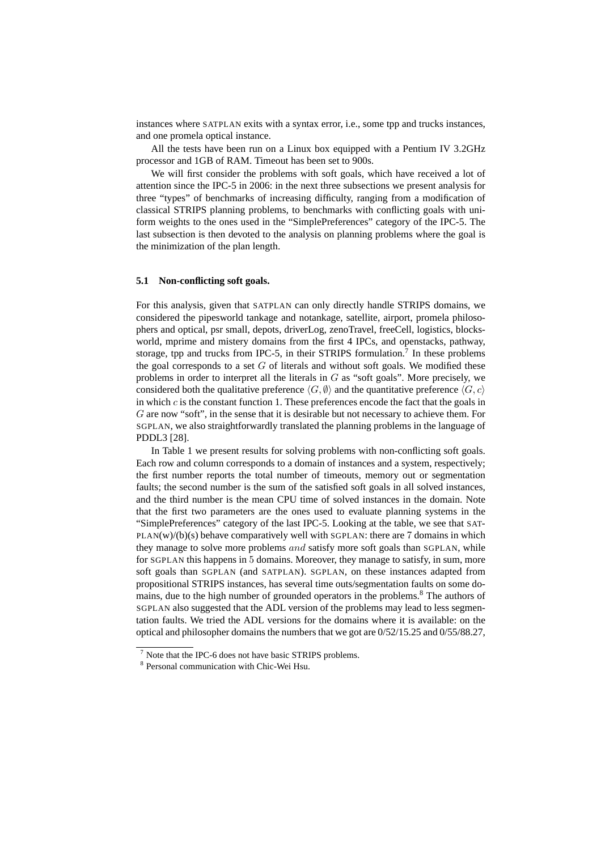instances where SATPLAN exits with a syntax error, i.e., some tpp and trucks instances, and one promela optical instance.

All the tests have been run on a Linux box equipped with a Pentium IV 3.2GHz processor and 1GB of RAM. Timeout has been set to 900s.

We will first consider the problems with soft goals, which have received a lot of attention since the IPC-5 in 2006: in the next three subsections we present analysis for three "types" of benchmarks of increasing difficulty, ranging from a modification of classical STRIPS planning problems, to benchmarks with conflicting goals with uniform weights to the ones used in the "SimplePreferences" category of the IPC-5. The last subsection is then devoted to the analysis on planning problems where the goal is the minimization of the plan length.

## **5.1 Non-conflicting soft goals.**

For this analysis, given that SATPLAN can only directly handle STRIPS domains, we considered the pipesworld tankage and notankage, satellite, airport, promela philosophers and optical, psr small, depots, driverLog, zenoTravel, freeCell, logistics, blocksworld, mprime and mistery domains from the first 4 IPCs, and openstacks, pathway, storage, tpp and trucks from IPC-5, in their STRIPS formulation.<sup>7</sup> In these problems the goal corresponds to a set  $G$  of literals and without soft goals. We modified these problems in order to interpret all the literals in  $G$  as "soft goals". More precisely, we considered both the qualitative preference  $\langle G, \emptyset \rangle$  and the quantitative preference  $\langle G, c \rangle$ in which  $c$  is the constant function 1. These preferences encode the fact that the goals in G are now "soft", in the sense that it is desirable but not necessary to achieve them. For SGPLAN, we also straightforwardly translated the planning problems in the language of PDDL3 [28].

In Table 1 we present results for solving problems with non-conflicting soft goals. Each row and column corresponds to a domain of instances and a system, respectively; the first number reports the total number of timeouts, memory out or segmentation faults; the second number is the sum of the satisfied soft goals in all solved instances, and the third number is the mean CPU time of solved instances in the domain. Note that the first two parameters are the ones used to evaluate planning systems in the "SimplePreferences" category of the last IPC-5. Looking at the table, we see that SAT- $PLAN(w)/(b)(s)$  behave comparatively well with SGPLAN: there are 7 domains in which they manage to solve more problems and satisfy more soft goals than SGPLAN, while for SGPLAN this happens in 5 domains. Moreover, they manage to satisfy, in sum, more soft goals than SGPLAN (and SATPLAN). SGPLAN, on these instances adapted from propositional STRIPS instances, has several time outs/segmentation faults on some domains, due to the high number of grounded operators in the problems.<sup>8</sup> The authors of SGPLAN also suggested that the ADL version of the problems may lead to less segmentation faults. We tried the ADL versions for the domains where it is available: on the optical and philosopher domains the numbers that we got are 0/52/15.25 and 0/55/88.27,

<sup>7</sup> Note that the IPC-6 does not have basic STRIPS problems.

<sup>8</sup> Personal communication with Chic-Wei Hsu.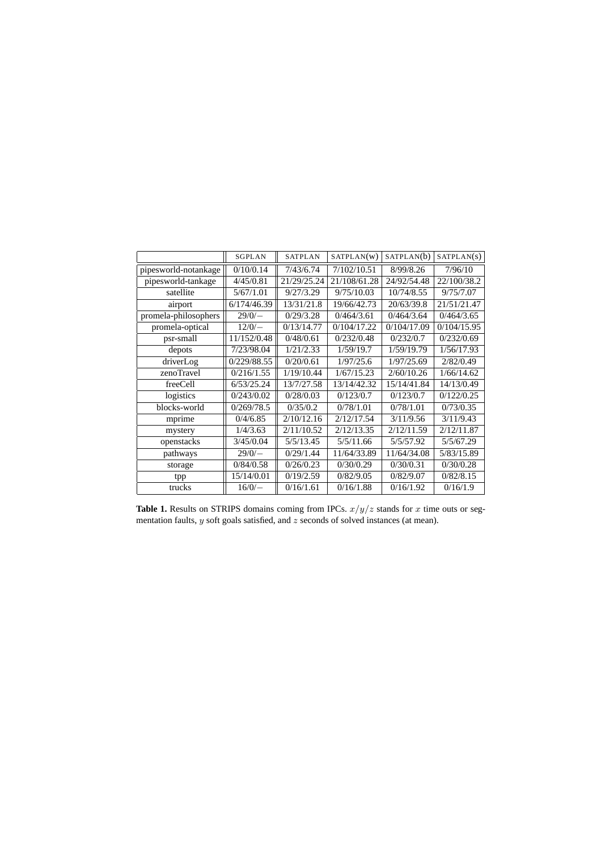|                      | <b>SGPLAN</b> | <b>SATPLAN</b>            | SATPLAN(W)   | SATPLAN(b)  | SATPLAN(S)  |  |
|----------------------|---------------|---------------------------|--------------|-------------|-------------|--|
| pipesworld-notankage | 0/10/0.14     | 7/43/6.74                 | 7/102/10.51  | 8/99/8.26   | 7/96/10     |  |
| pipesworld-tankage   | 4/45/0.81     | 21/29/25.24               | 21/108/61.28 | 24/92/54.48 | 22/100/38.2 |  |
| satellite            | 5/67/1.01     | 9/27/3.29                 | 9/75/10.03   | 10/74/8.55  | 9/75/7.07   |  |
| airport              | 6/174/46.39   | 13/31/21.8<br>19/66/42.73 |              | 20/63/39.8  | 21/51/21.47 |  |
| promela-philosophers | $29/0/-$      | 0/29/3.28                 | 0/464/3.61   | 0/464/3.64  | 0/464/3.65  |  |
| promela-optical      | $12/0/-$      | 0/13/14.77                | 0/104/17.22  | 0/104/17.09 | 0/104/15.95 |  |
| psr-small            | 11/152/0.48   | 0/48/0.61                 | 0/232/0.48   | 0/232/0.7   | 0/232/0.69  |  |
| depots               | 7/23/98.04    | 1/21/2.33                 | 1/59/19.7    | 1/59/19.79  | 1/56/17.93  |  |
| driverLog            | 0/229/88.55   | 0/20/0.61                 | 1/97/25.6    | 1/97/25.69  | 2/82/0.49   |  |
| zenoTravel           | 0/216/1.55    | 1/19/10.44                | 1/67/15.23   | 2/60/10.26  | 1/66/14.62  |  |
| freeCell             | 6/53/25.24    | 13/7/27.58                | 13/14/42.32  | 15/14/41.84 | 14/13/0.49  |  |
| logistics            | 0/243/0.02    | 0/28/0.03                 | 0/123/0.7    | 0/123/0.7   | 0/122/0.25  |  |
| blocks-world         | 0/269/78.5    | 0/35/0.2                  | 0/78/1.01    | 0/78/1.01   | 0/73/0.35   |  |
| mprime               | 0/4/6.85      | 2/10/12.16                | 2/12/17.54   | 3/11/9.56   | 3/11/9.43   |  |
| mystery              | 1/4/3.63      | 2/11/10.52                | 2/12/13.35   | 2/12/11.59  | 2/12/11.87  |  |
| openstacks           | 3/45/0.04     | 5/5/13.45                 | 5/5/11.66    | 5/5/57.92   | 5/5/67.29   |  |
| pathways             | $29/0/-$      | 0/29/1.44                 | 11/64/33.89  | 11/64/34.08 | 5/83/15.89  |  |
| storage              | 0/84/0.58     | 0/26/0.23                 | 0/30/0.29    | 0/30/0.31   | 0/30/0.28   |  |
| tpp                  | 15/14/0.01    | 0/19/2.59                 | 0/82/9.05    | 0/82/9.07   | 0/82/8.15   |  |
| trucks               | $16/0/-$      | 0/16/1.61                 | 0/16/1.88    | 0/16/1.92   | 0/16/1.9    |  |

**Table 1.** Results on STRIPS domains coming from IPCs.  $x/y/z$  stands for x time outs or segmentation faults,  $y$  soft goals satisfied, and  $z$  seconds of solved instances (at mean).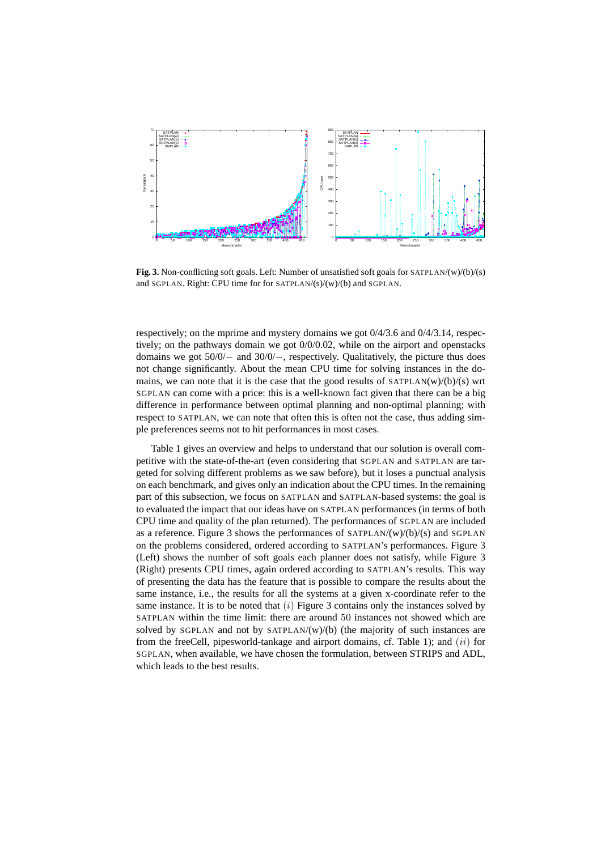

**Fig. 3.** Non-conflicting soft goals. Left: Number of unsatisfied soft goals for SATPLAN/(w)/(b)/(s) and SGPLAN. Right: CPU time for for SATPLAN/(s)/(w)/(b) and SGPLAN.

respectively; on the mprime and mystery domains we got 0/4/3.6 and 0/4/3.14, respectively; on the pathways domain we got 0/0/0.02, while on the airport and openstacks domains we got 50/0/− and 30/0/−, respectively. Qualitatively, the picture thus does not change significantly. About the mean CPU time for solving instances in the domains, we can note that it is the case that the good results of  $SATPLAN(w)/(b)/(s)$  wrt SGPLAN can come with a price: this is a well-known fact given that there can be a big difference in performance between optimal planning and non-optimal planning; with respect to SATPLAN, we can note that often this is often not the case, thus adding simple preferences seems not to hit performances in most cases.

Table 1 gives an overview and helps to understand that our solution is overall competitive with the state-of-the-art (even considering that SGPLAN and SATPLAN are targeted for solving different problems as we saw before), but it loses a punctual analysis on each benchmark, and gives only an indication about the CPU times. In the remaining part of this subsection, we focus on SATPLAN and SATPLAN-based systems: the goal is to evaluated the impact that our ideas have on SATPLAN performances (in terms of both CPU time and quality of the plan returned). The performances of SGPLAN are included as a reference. Figure 3 shows the performances of  $SATPLAN/(w)/(b)/(s)$  and  $SGPLAN$ on the problems considered, ordered according to SATPLAN's performances. Figure 3 (Left) shows the number of soft goals each planner does not satisfy, while Figure 3 (Right) presents CPU times, again ordered according to SATPLAN's results. This way of presenting the data has the feature that is possible to compare the results about the same instance, i.e., the results for all the systems at a given x-coordinate refer to the same instance. It is to be noted that  $(i)$  Figure 3 contains only the instances solved by SATPLAN within the time limit: there are around 50 instances not showed which are solved by SGPLAN and not by SATPLAN/(w)/(b) (the majority of such instances are from the freeCell, pipesworld-tankage and airport domains, cf. Table 1); and  $(ii)$  for SGPLAN, when available, we have chosen the formulation, between STRIPS and ADL, which leads to the best results.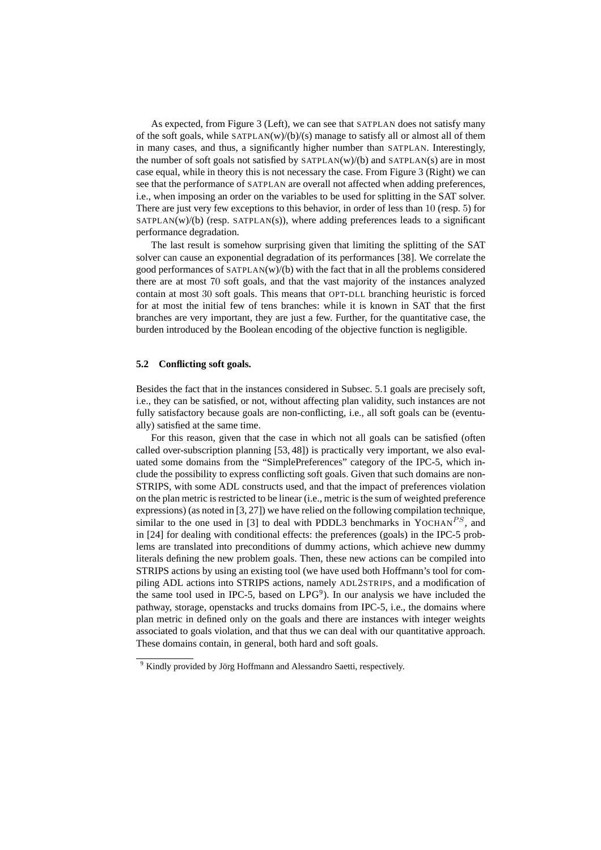As expected, from Figure 3 (Left), we can see that SATPLAN does not satisfy many of the soft goals, while  $SATPLAN(w)/(b)/(s)$  manage to satisfy all or almost all of them in many cases, and thus, a significantly higher number than SATPLAN. Interestingly, the number of soft goals not satisfied by SATPLAN(w)/(b) and SATPLAN(s) are in most case equal, while in theory this is not necessary the case. From Figure 3 (Right) we can see that the performance of SATPLAN are overall not affected when adding preferences, i.e., when imposing an order on the variables to be used for splitting in the SAT solver. There are just very few exceptions to this behavior, in order of less than 10 (resp. 5) for  $SATPLAN(w)/(b)$  (resp.  $SATPLAN(s)$ ), where adding preferences leads to a significant performance degradation.

The last result is somehow surprising given that limiting the splitting of the SAT solver can cause an exponential degradation of its performances [38]. We correlate the good performances of SATPLAN(w)/(b) with the fact that in all the problems considered there are at most 70 soft goals, and that the vast majority of the instances analyzed contain at most 30 soft goals. This means that OPT-DLL branching heuristic is forced for at most the initial few of tens branches: while it is known in SAT that the first branches are very important, they are just a few. Further, for the quantitative case, the burden introduced by the Boolean encoding of the objective function is negligible.

#### **5.2 Conflicting soft goals.**

Besides the fact that in the instances considered in Subsec. 5.1 goals are precisely soft, i.e., they can be satisfied, or not, without affecting plan validity, such instances are not fully satisfactory because goals are non-conflicting, i.e., all soft goals can be (eventually) satisfied at the same time.

For this reason, given that the case in which not all goals can be satisfied (often called over-subscription planning [53, 48]) is practically very important, we also evaluated some domains from the "SimplePreferences" category of the IPC-5, which include the possibility to express conflicting soft goals. Given that such domains are non-STRIPS, with some ADL constructs used, and that the impact of preferences violation on the plan metric is restricted to be linear (i.e., metric is the sum of weighted preference expressions) (as noted in [3, 27]) we have relied on the following compilation technique, similar to the one used in [3] to deal with PDDL3 benchmarks in YOCHAN<sup>PS</sup>, and in [24] for dealing with conditional effects: the preferences (goals) in the IPC-5 problems are translated into preconditions of dummy actions, which achieve new dummy literals defining the new problem goals. Then, these new actions can be compiled into STRIPS actions by using an existing tool (we have used both Hoffmann's tool for compiling ADL actions into STRIPS actions, namely ADL2STRIPS, and a modification of the same tool used in IPC-5, based on  $LPG<sup>9</sup>$ ). In our analysis we have included the pathway, storage, openstacks and trucks domains from IPC-5, i.e., the domains where plan metric in defined only on the goals and there are instances with integer weights associated to goals violation, and that thus we can deal with our quantitative approach. These domains contain, in general, both hard and soft goals.

 $9$  Kindly provided by Jörg Hoffmann and Alessandro Saetti, respectively.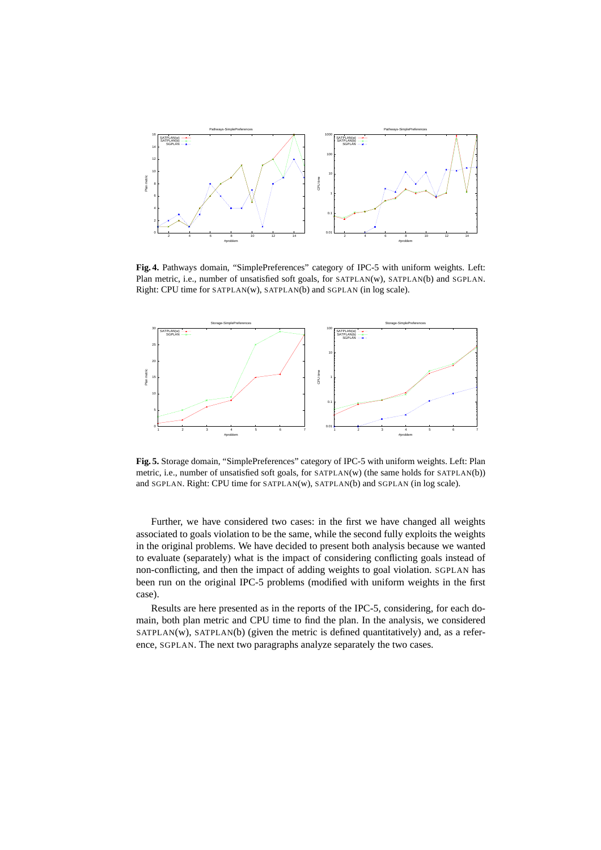

**Fig. 4.** Pathways domain, "SimplePreferences" category of IPC-5 with uniform weights. Left: Plan metric, i.e., number of unsatisfied soft goals, for SATPLAN(w), SATPLAN(b) and SGPLAN. Right: CPU time for SATPLAN(w), SATPLAN(b) and SGPLAN (in log scale).



**Fig. 5.** Storage domain, "SimplePreferences" category of IPC-5 with uniform weights. Left: Plan metric, i.e., number of unsatisfied soft goals, for SATPLAN(w) (the same holds for SATPLAN(b)) and SGPLAN. Right: CPU time for SATPLAN(w), SATPLAN(b) and SGPLAN (in log scale).

Further, we have considered two cases: in the first we have changed all weights associated to goals violation to be the same, while the second fully exploits the weights in the original problems. We have decided to present both analysis because we wanted to evaluate (separately) what is the impact of considering conflicting goals instead of non-conflicting, and then the impact of adding weights to goal violation. SGPLAN has been run on the original IPC-5 problems (modified with uniform weights in the first case).

Results are here presented as in the reports of the IPC-5, considering, for each domain, both plan metric and CPU time to find the plan. In the analysis, we considered SATPLAN(w), SATPLAN(b) (given the metric is defined quantitatively) and, as a reference, SGPLAN. The next two paragraphs analyze separately the two cases.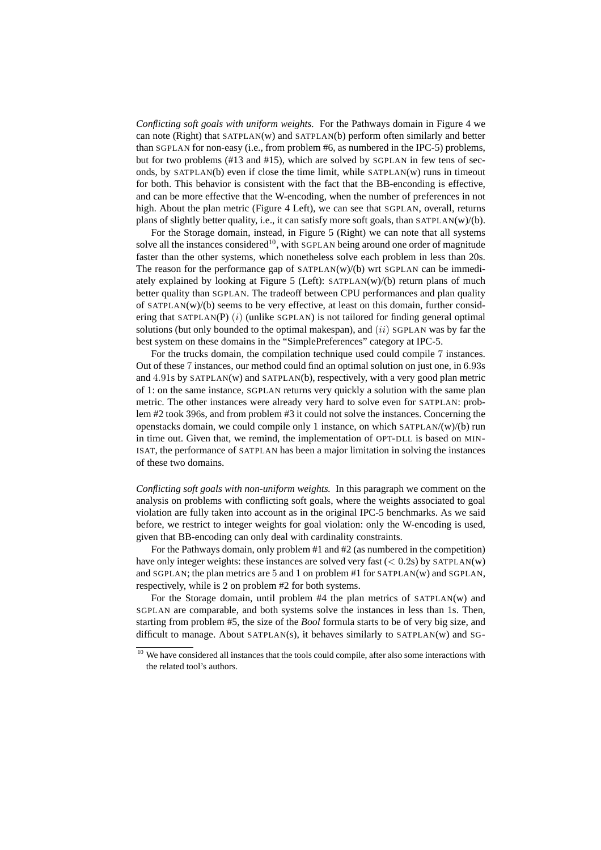*Conflicting soft goals with uniform weights.* For the Pathways domain in Figure 4 we can note (Right) that  $SATPLAN(w)$  and  $SATPLAN(b)$  perform often similarly and better than SGPLAN for non-easy (i.e., from problem #6, as numbered in the IPC-5) problems, but for two problems (#13 and #15), which are solved by SGPLAN in few tens of seconds, by  $SATPLAN(b)$  even if close the time limit, while  $SATPLAN(W)$  runs in timeout for both. This behavior is consistent with the fact that the BB-enconding is effective, and can be more effective that the W-encoding, when the number of preferences in not high. About the plan metric (Figure 4 Left), we can see that SGPLAN, overall, returns plans of slightly better quality, i.e., it can satisfy more soft goals, than SATPLAN(w)/(b).

For the Storage domain, instead, in Figure 5 (Right) we can note that all systems solve all the instances considered<sup>10</sup>, with SGPLAN being around one order of magnitude faster than the other systems, which nonetheless solve each problem in less than 20s. The reason for the performance gap of  $SATPLAN(W)/(b)$  wrt  $SGPLAN$  can be immediately explained by looking at Figure 5 (Left): SATPLAN(w)/(b) return plans of much better quality than SGPLAN. The tradeoff between CPU performances and plan quality of SATPLAN(w)/(b) seems to be very effective, at least on this domain, further considering that SATPLAN(P)  $(i)$  (unlike SGPLAN) is not tailored for finding general optimal solutions (but only bounded to the optimal makespan), and  $(ii)$  SGPLAN was by far the best system on these domains in the "SimplePreferences" category at IPC-5.

For the trucks domain, the compilation technique used could compile 7 instances. Out of these 7 instances, our method could find an optimal solution on just one, in 6.93s and  $4.91s$  by SATPLAN(w) and SATPLAN(b), respectively, with a very good plan metric of 1: on the same instance, SGPLAN returns very quickly a solution with the same plan metric. The other instances were already very hard to solve even for SATPLAN: problem #2 took 396s, and from problem #3 it could not solve the instances. Concerning the openstacks domain, we could compile only 1 instance, on which  $SATPLAN/(w)/(b)$  run in time out. Given that, we remind, the implementation of OPT-DLL is based on MIN-ISAT, the performance of SATPLAN has been a major limitation in solving the instances of these two domains.

*Conflicting soft goals with non-uniform weights.* In this paragraph we comment on the analysis on problems with conflicting soft goals, where the weights associated to goal violation are fully taken into account as in the original IPC-5 benchmarks. As we said before, we restrict to integer weights for goal violation: only the W-encoding is used, given that BB-encoding can only deal with cardinality constraints.

For the Pathways domain, only problem #1 and #2 (as numbered in the competition) have only integer weights: these instances are solved very fast ( $\lt$  0.2s) by SATPLAN(w) and SGPLAN; the plan metrics are 5 and 1 on problem #1 for SATPLAN(w) and SGPLAN, respectively, while is 2 on problem #2 for both systems.

For the Storage domain, until problem #4 the plan metrics of SATPLAN(w) and SGPLAN are comparable, and both systems solve the instances in less than 1s. Then, starting from problem #5, the size of the *Bool* formula starts to be of very big size, and difficult to manage. About SATPLAN(s), it behaves similarly to SATPLAN(w) and SG-

<sup>&</sup>lt;sup>10</sup> We have considered all instances that the tools could compile, after also some interactions with the related tool's authors.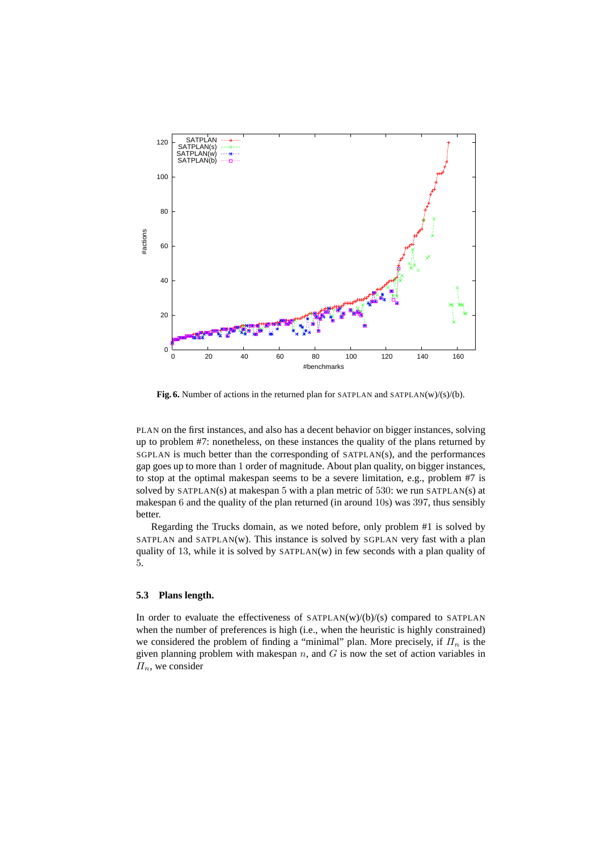

**Fig. 6.** Number of actions in the returned plan for SATPLAN and SATPLAN(w)/(s)/(b).

PLAN on the first instances, and also has a decent behavior on bigger instances, solving up to problem #7: nonetheless, on these instances the quality of the plans returned by SGPLAN is much better than the corresponding of SATPLAN(s), and the performances gap goes up to more than 1 order of magnitude. About plan quality, on bigger instances, to stop at the optimal makespan seems to be a severe limitation, e.g., problem #7 is solved by  $SATPLAN(s)$  at makespan 5 with a plan metric of 530: we run  $SATPLAN(s)$  at makespan 6 and the quality of the plan returned (in around 10s) was 397, thus sensibly better.

Regarding the Trucks domain, as we noted before, only problem #1 is solved by SATPLAN and SATPLAN(w). This instance is solved by SGPLAN very fast with a plan quality of 13, while it is solved by  $SATPLAN(w)$  in few seconds with a plan quality of 5.

# **5.3 Plans length.**

In order to evaluate the effectiveness of  $SATPLAN(w)/(b)/(s)$  compared to  $SATPLAN$ when the number of preferences is high (i.e., when the heuristic is highly constrained) we considered the problem of finding a "minimal" plan. More precisely, if  $\Pi_n$  is the given planning problem with makespan  $n$ , and  $G$  is now the set of action variables in  $\Pi_n$ , we consider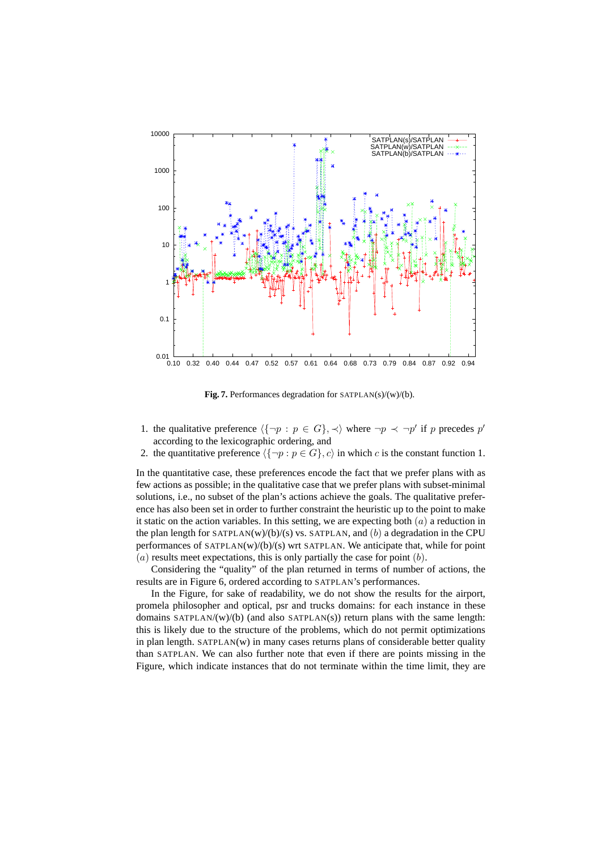

**Fig. 7.** Performances degradation for SATPLAN(s)/(w)/(b).

- 1. the qualitative preference  $\langle {\neg p : p \in G} \rangle, \prec \rangle$  where  $\neg p \prec \neg p'$  if p precedes p' according to the lexicographic ordering, and
- 2. the quantitative preference  $\langle {\neg p : p \in G} \rangle$ , c) in which c is the constant function 1.

In the quantitative case, these preferences encode the fact that we prefer plans with as few actions as possible; in the qualitative case that we prefer plans with subset-minimal solutions, i.e., no subset of the plan's actions achieve the goals. The qualitative preference has also been set in order to further constraint the heuristic up to the point to make it static on the action variables. In this setting, we are expecting both  $(a)$  a reduction in the plan length for SATPLAN(w)/(b)/(s) vs. SATPLAN, and  $(b)$  a degradation in the CPU performances of SATPLAN(w)/(b)/(s) wrt SATPLAN. We anticipate that, while for point  $(a)$  results meet expectations, this is only partially the case for point  $(b)$ .

Considering the "quality" of the plan returned in terms of number of actions, the results are in Figure 6, ordered according to SATPLAN's performances.

In the Figure, for sake of readability, we do not show the results for the airport, promela philosopher and optical, psr and trucks domains: for each instance in these domains SATPLAN/(w)/(b) (and also SATPLAN(s)) return plans with the same length: this is likely due to the structure of the problems, which do not permit optimizations in plan length. SATPLAN(w) in many cases returns plans of considerable better quality than SATPLAN. We can also further note that even if there are points missing in the Figure, which indicate instances that do not terminate within the time limit, they are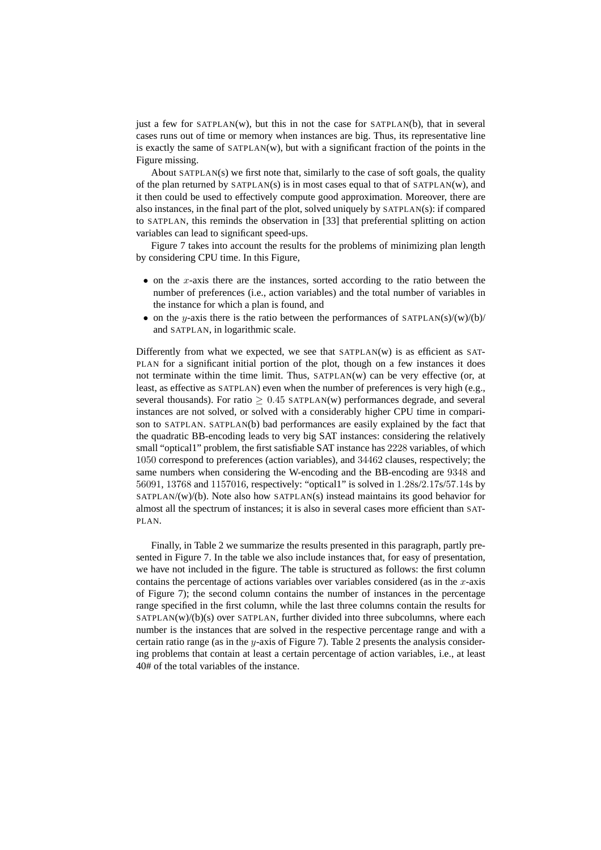just a few for  $SATPLAN(w)$ , but this in not the case for  $SATPLAN(b)$ , that in several cases runs out of time or memory when instances are big. Thus, its representative line is exactly the same of SATPLAN(w), but with a significant fraction of the points in the Figure missing.

About  $SATPLAN(s)$  we first note that, similarly to the case of soft goals, the quality of the plan returned by SATPLAN(s) is in most cases equal to that of SATPLAN(w), and it then could be used to effectively compute good approximation. Moreover, there are also instances, in the final part of the plot, solved uniquely by SATPLAN(s): if compared to SATPLAN, this reminds the observation in [33] that preferential splitting on action variables can lead to significant speed-ups.

Figure 7 takes into account the results for the problems of minimizing plan length by considering CPU time. In this Figure,

- on the x-axis there are the instances, sorted according to the ratio between the number of preferences (i.e., action variables) and the total number of variables in the instance for which a plan is found, and
- on the y-axis there is the ratio between the performances of SATPLAN(s)/(w)/(b)/ and SATPLAN, in logarithmic scale.

Differently from what we expected, we see that  $SATPLAN(W)$  is as efficient as  $SAT-$ PLAN for a significant initial portion of the plot, though on a few instances it does not terminate within the time limit. Thus, SATPLAN(w) can be very effective (or, at least, as effective as SATPLAN) even when the number of preferences is very high (e.g., several thousands). For ratio  $\geq 0.45$  SATPLAN(w) performances degrade, and several instances are not solved, or solved with a considerably higher CPU time in comparison to SATPLAN. SATPLAN(b) bad performances are easily explained by the fact that the quadratic BB-encoding leads to very big SAT instances: considering the relatively small "optical1" problem, the first satisfiable SAT instance has 2228 variables, of which 1050 correspond to preferences (action variables), and 34462 clauses, respectively; the same numbers when considering the W-encoding and the BB-encoding are 9348 and 56091, 13768 and 1157016, respectively: "optical1" is solved in 1.28s/2.17s/57.14s by SATPLAN/(w)/(b). Note also how SATPLAN(s) instead maintains its good behavior for almost all the spectrum of instances; it is also in several cases more efficient than SAT-PLAN.

Finally, in Table 2 we summarize the results presented in this paragraph, partly presented in Figure 7. In the table we also include instances that, for easy of presentation, we have not included in the figure. The table is structured as follows: the first column contains the percentage of actions variables over variables considered (as in the  $x$ -axis of Figure 7); the second column contains the number of instances in the percentage range specified in the first column, while the last three columns contain the results for  $SATPLAN(w)/(b)(s)$  over  $SATPLAN$ , further divided into three subcolumns, where each number is the instances that are solved in the respective percentage range and with a certain ratio range (as in the y-axis of Figure 7). Table 2 presents the analysis considering problems that contain at least a certain percentage of action variables, i.e., at least 40# of the total variables of the instance.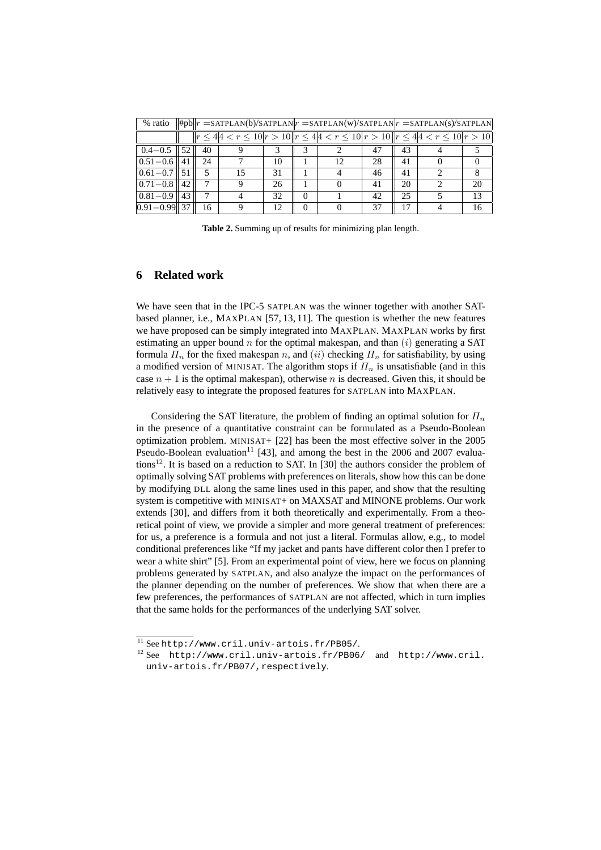| % ratio                   |    |    | $  \#pb  r =$ SATPLAN(b)/SATPLAN $ r =$ SATPLAN(w)/SATPLAN $ r =$ SATPLAN(s)/SATPLAN             |    |  |    |    |    |
|---------------------------|----|----|--------------------------------------------------------------------------------------------------|----|--|----|----|----|
|                           |    |    | $  r \leq 4 4 < r \leq 10 r > 10  r \leq 4 4 < r \leq 10 r > 10  r \leq 4 4 < r \leq 10 r > 10 $ |    |  |    |    |    |
| $0.4 - 0.5$               | 52 | 40 |                                                                                                  |    |  | 47 | 43 |    |
| $0.51 - 0.6$    41        |    | 24 |                                                                                                  | 10 |  | 28 | 41 |    |
| $0.61 - 0.7 \parallel 51$ |    |    | 15                                                                                               | 31 |  | 46 | 41 |    |
| $0.71 - 0.8$              | 42 |    |                                                                                                  | 26 |  | 41 | 20 | 20 |
| $0.81 - 0.9$              | 43 |    |                                                                                                  | 32 |  | 42 | 25 | 13 |
| $ 0.91 - 0.99 $ 37        |    | 16 |                                                                                                  | 12 |  |    |    | 16 |

**Table 2.** Summing up of results for minimizing plan length.

# **6 Related work**

We have seen that in the IPC-5 SATPLAN was the winner together with another SATbased planner, i.e., MAXPLAN [57, 13, 11]. The question is whether the new features we have proposed can be simply integrated into MAXPLAN. MAXPLAN works by first estimating an upper bound n for the optimal makespan, and than  $(i)$  generating a SAT formula  $\Pi_n$  for the fixed makespan n, and (ii) checking  $\Pi_n$  for satisfiability, by using a modified version of MINISAT. The algorithm stops if  $\Pi_n$  is unsatisfiable (and in this case  $n + 1$  is the optimal makespan), otherwise n is decreased. Given this, it should be relatively easy to integrate the proposed features for SATPLAN into MAXPLAN.

Considering the SAT literature, the problem of finding an optimal solution for  $\Pi_n$ in the presence of a quantitative constraint can be formulated as a Pseudo-Boolean optimization problem. MINISAT+ [22] has been the most effective solver in the 2005 Pseudo-Boolean evaluation<sup>11</sup> [43], and among the best in the 2006 and 2007 evaluations<sup>12</sup>. It is based on a reduction to SAT. In [30] the authors consider the problem of optimally solving SAT problems with preferences on literals, show how this can be done by modifying DLL along the same lines used in this paper, and show that the resulting system is competitive with MINISAT+ on MAXSAT and MINONE problems. Our work extends [30], and differs from it both theoretically and experimentally. From a theoretical point of view, we provide a simpler and more general treatment of preferences: for us, a preference is a formula and not just a literal. Formulas allow, e.g., to model conditional preferences like "If my jacket and pants have different color then I prefer to wear a white shirt" [5]. From an experimental point of view, here we focus on planning problems generated by SATPLAN, and also analyze the impact on the performances of the planner depending on the number of preferences. We show that when there are a few preferences, the performances of SATPLAN are not affected, which in turn implies that the same holds for the performances of the underlying SAT solver.

 $^{11}$  See http://www.cril.univ-artois.fr/PB05/.

<sup>12</sup> See http://www.cril.univ-artois.fr/PB06/ and http://www.cril. univ-artois.fr/PB07/,respectively.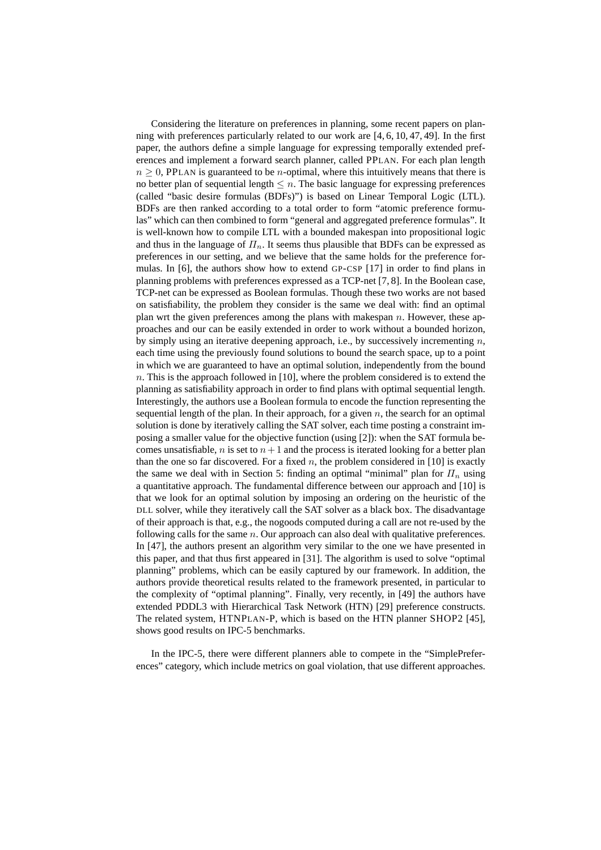Considering the literature on preferences in planning, some recent papers on planning with preferences particularly related to our work are [4, 6, 10, 47, 49]. In the first paper, the authors define a simple language for expressing temporally extended preferences and implement a forward search planner, called PPLAN. For each plan length  $n \geq 0$ , PPLAN is guaranteed to be *n*-optimal, where this intuitively means that there is no better plan of sequential length  $\leq n$ . The basic language for expressing preferences (called "basic desire formulas (BDFs)") is based on Linear Temporal Logic (LTL). BDFs are then ranked according to a total order to form "atomic preference formulas" which can then combined to form "general and aggregated preference formulas". It is well-known how to compile LTL with a bounded makespan into propositional logic and thus in the language of  $\Pi_n$ . It seems thus plausible that BDFs can be expressed as preferences in our setting, and we believe that the same holds for the preference formulas. In [6], the authors show how to extend GP-CSP [17] in order to find plans in planning problems with preferences expressed as a TCP-net [7, 8]. In the Boolean case, TCP-net can be expressed as Boolean formulas. Though these two works are not based on satisfiability, the problem they consider is the same we deal with: find an optimal plan wrt the given preferences among the plans with makespan  $n$ . However, these approaches and our can be easily extended in order to work without a bounded horizon, by simply using an iterative deepening approach, i.e., by successively incrementing  $n$ , each time using the previously found solutions to bound the search space, up to a point in which we are guaranteed to have an optimal solution, independently from the bound n. This is the approach followed in [10], where the problem considered is to extend the planning as satisfiability approach in order to find plans with optimal sequential length. Interestingly, the authors use a Boolean formula to encode the function representing the sequential length of the plan. In their approach, for a given  $n$ , the search for an optimal solution is done by iteratively calling the SAT solver, each time posting a constraint imposing a smaller value for the objective function (using [2]): when the SAT formula becomes unsatisfiable, n is set to  $n+1$  and the process is iterated looking for a better plan than the one so far discovered. For a fixed n, the problem considered in [10] is exactly the same we deal with in Section 5: finding an optimal "minimal" plan for  $\Pi_n$  using a quantitative approach. The fundamental difference between our approach and [10] is that we look for an optimal solution by imposing an ordering on the heuristic of the DLL solver, while they iteratively call the SAT solver as a black box. The disadvantage of their approach is that, e.g., the nogoods computed during a call are not re-used by the following calls for the same  $n$ . Our approach can also deal with qualitative preferences. In [47], the authors present an algorithm very similar to the one we have presented in this paper, and that thus first appeared in [31]. The algorithm is used to solve "optimal planning" problems, which can be easily captured by our framework. In addition, the authors provide theoretical results related to the framework presented, in particular to the complexity of "optimal planning". Finally, very recently, in [49] the authors have extended PDDL3 with Hierarchical Task Network (HTN) [29] preference constructs. The related system, HTNPLAN-P, which is based on the HTN planner SHOP2 [45], shows good results on IPC-5 benchmarks.

In the IPC-5, there were different planners able to compete in the "SimplePreferences" category, which include metrics on goal violation, that use different approaches.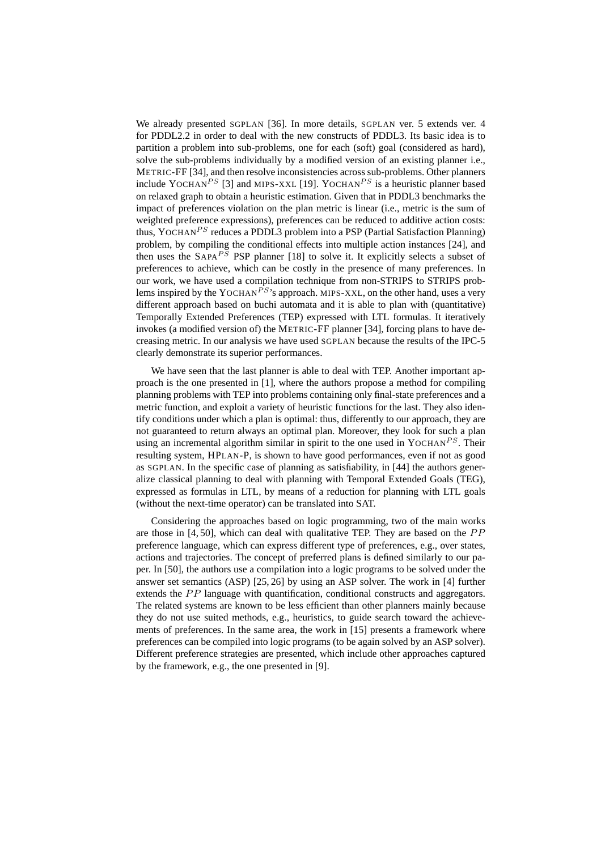We already presented SGPLAN [36]. In more details, SGPLAN ver. 5 extends ver. 4 for PDDL2.2 in order to deal with the new constructs of PDDL3. Its basic idea is to partition a problem into sub-problems, one for each (soft) goal (considered as hard), solve the sub-problems individually by a modified version of an existing planner i.e., METRIC-FF [34], and then resolve inconsistencies across sub-problems. Other planners include YOCHAN<sup>PS</sup> [3] and MIPS-XXL [19]. YOCHAN<sup>PS</sup> is a heuristic planner based on relaxed graph to obtain a heuristic estimation. Given that in PDDL3 benchmarks the impact of preferences violation on the plan metric is linear (i.e., metric is the sum of weighted preference expressions), preferences can be reduced to additive action costs: thus, YOCHAN<sup>PS</sup> reduces a PDDL3 problem into a PSP (Partial Satisfaction Planning) problem, by compiling the conditional effects into multiple action instances [24], and then uses the  $SAPA^{PS}$  PSP planner [18] to solve it. It explicitly selects a subset of preferences to achieve, which can be costly in the presence of many preferences. In our work, we have used a compilation technique from non-STRIPS to STRIPS problems inspired by the YOCHAN<sup>PS</sup>'s approach. MIPS-XXL, on the other hand, uses a very different approach based on buchi automata and it is able to plan with (quantitative) Temporally Extended Preferences (TEP) expressed with LTL formulas. It iteratively invokes (a modified version of) the METRIC-FF planner [34], forcing plans to have decreasing metric. In our analysis we have used SGPLAN because the results of the IPC-5 clearly demonstrate its superior performances.

We have seen that the last planner is able to deal with TEP. Another important approach is the one presented in [1], where the authors propose a method for compiling planning problems with TEP into problems containing only final-state preferences and a metric function, and exploit a variety of heuristic functions for the last. They also identify conditions under which a plan is optimal: thus, differently to our approach, they are not guaranteed to return always an optimal plan. Moreover, they look for such a plan using an incremental algorithm similar in spirit to the one used in YOCHAN<sup>PS</sup>. Their resulting system, HPLAN-P, is shown to have good performances, even if not as good as SGPLAN. In the specific case of planning as satisfiability, in [44] the authors generalize classical planning to deal with planning with Temporal Extended Goals (TEG), expressed as formulas in LTL, by means of a reduction for planning with LTL goals (without the next-time operator) can be translated into SAT.

Considering the approaches based on logic programming, two of the main works are those in  $[4, 50]$ , which can deal with qualitative TEP. They are based on the  $PP$ preference language, which can express different type of preferences, e.g., over states, actions and trajectories. The concept of preferred plans is defined similarly to our paper. In [50], the authors use a compilation into a logic programs to be solved under the answer set semantics (ASP) [25, 26] by using an ASP solver. The work in [4] further extends the  $PP$  language with quantification, conditional constructs and aggregators. The related systems are known to be less efficient than other planners mainly because they do not use suited methods, e.g., heuristics, to guide search toward the achievements of preferences. In the same area, the work in [15] presents a framework where preferences can be compiled into logic programs (to be again solved by an ASP solver). Different preference strategies are presented, which include other approaches captured by the framework, e.g., the one presented in [9].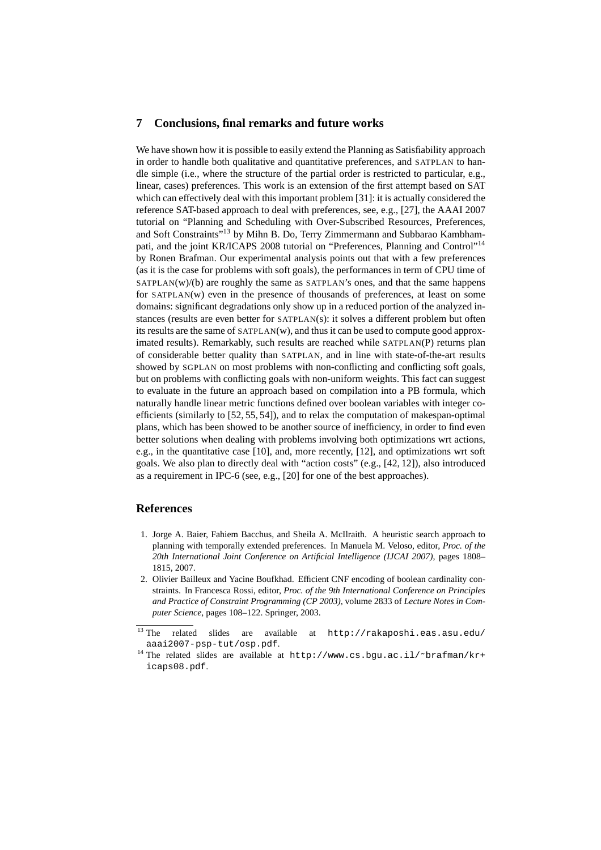#### **7 Conclusions, final remarks and future works**

We have shown how it is possible to easily extend the Planning as Satisfiability approach in order to handle both qualitative and quantitative preferences, and SATPLAN to handle simple (i.e., where the structure of the partial order is restricted to particular, e.g., linear, cases) preferences. This work is an extension of the first attempt based on SAT which can effectively deal with this important problem [31]: it is actually considered the reference SAT-based approach to deal with preferences, see, e.g., [27], the AAAI 2007 tutorial on "Planning and Scheduling with Over-Subscribed Resources, Preferences, and Soft Constraints<sup>713</sup> by Mihn B. Do, Terry Zimmermann and Subbarao Kambhampati, and the joint KR/ICAPS 2008 tutorial on "Preferences, Planning and Control"<sup>14</sup> by Ronen Brafman. Our experimental analysis points out that with a few preferences (as it is the case for problems with soft goals), the performances in term of CPU time of  $SATPLAN(w)/(b)$  are roughly the same as  $SATPLAN's$  ones, and that the same happens for SATPLAN(w) even in the presence of thousands of preferences, at least on some domains: significant degradations only show up in a reduced portion of the analyzed instances (results are even better for SATPLAN(s): it solves a different problem but often its results are the same of SATPLAN(w), and thus it can be used to compute good approximated results). Remarkably, such results are reached while SATPLAN(P) returns plan of considerable better quality than SATPLAN, and in line with state-of-the-art results showed by SGPLAN on most problems with non-conflicting and conflicting soft goals, but on problems with conflicting goals with non-uniform weights. This fact can suggest to evaluate in the future an approach based on compilation into a PB formula, which naturally handle linear metric functions defined over boolean variables with integer coefficients (similarly to [52, 55, 54]), and to relax the computation of makespan-optimal plans, which has been showed to be another source of inefficiency, in order to find even better solutions when dealing with problems involving both optimizations wrt actions, e.g., in the quantitative case [10], and, more recently, [12], and optimizations wrt soft goals. We also plan to directly deal with "action costs" (e.g., [42, 12]), also introduced as a requirement in IPC-6 (see, e.g., [20] for one of the best approaches).

## **References**

- 1. Jorge A. Baier, Fahiem Bacchus, and Sheila A. McIlraith. A heuristic search approach to planning with temporally extended preferences. In Manuela M. Veloso, editor, *Proc. of the 20th International Joint Conference on Artificial Intelligence (IJCAI 2007)*, pages 1808– 1815, 2007.
- 2. Olivier Bailleux and Yacine Boufkhad. Efficient CNF encoding of boolean cardinality constraints. In Francesca Rossi, editor, *Proc. of the 9th International Conference on Principles and Practice of Constraint Programming (CP 2003)*, volume 2833 of *Lecture Notes in Computer Science*, pages 108–122. Springer, 2003.

 $\overline{13}$  The related slides are available at http://rakaposhi.eas.asu.edu/ aaai2007-psp-tut/osp.pdf.

<sup>&</sup>lt;sup>14</sup> The related slides are available at http://www.cs.bgu.ac.il/~brafman/kr+ icaps08.pdf.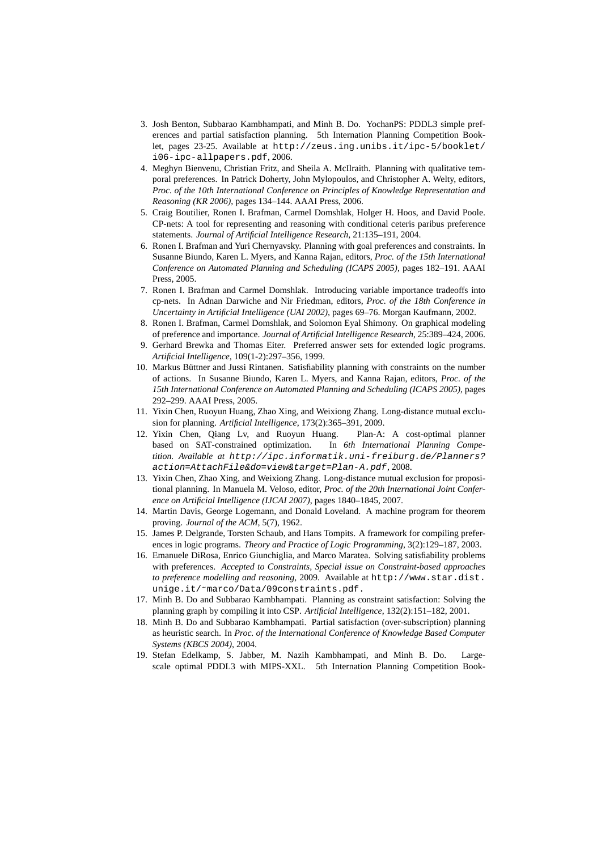- 3. Josh Benton, Subbarao Kambhampati, and Minh B. Do. YochanPS: PDDL3 simple preferences and partial satisfaction planning. 5th Internation Planning Competition Booklet, pages 23-25. Available at http://zeus.ing.unibs.it/ipc-5/booklet/ i06-ipc-allpapers.pdf, 2006.
- 4. Meghyn Bienvenu, Christian Fritz, and Sheila A. McIlraith. Planning with qualitative temporal preferences. In Patrick Doherty, John Mylopoulos, and Christopher A. Welty, editors, *Proc. of the 10th International Conference on Principles of Knowledge Representation and Reasoning (KR 2006)*, pages 134–144. AAAI Press, 2006.
- 5. Craig Boutilier, Ronen I. Brafman, Carmel Domshlak, Holger H. Hoos, and David Poole. CP-nets: A tool for representing and reasoning with conditional ceteris paribus preference statements. *Journal of Artificial Intelligence Research*, 21:135–191, 2004.
- 6. Ronen I. Brafman and Yuri Chernyavsky. Planning with goal preferences and constraints. In Susanne Biundo, Karen L. Myers, and Kanna Rajan, editors, *Proc. of the 15th International Conference on Automated Planning and Scheduling (ICAPS 2005)*, pages 182–191. AAAI Press, 2005.
- 7. Ronen I. Brafman and Carmel Domshlak. Introducing variable importance tradeoffs into cp-nets. In Adnan Darwiche and Nir Friedman, editors, *Proc. of the 18th Conference in Uncertainty in Artificial Intelligence (UAI 2002)*, pages 69–76. Morgan Kaufmann, 2002.
- 8. Ronen I. Brafman, Carmel Domshlak, and Solomon Eyal Shimony. On graphical modeling of preference and importance. *Journal of Artificial Intelligence Research*, 25:389–424, 2006.
- 9. Gerhard Brewka and Thomas Eiter. Preferred answer sets for extended logic programs. *Artificial Intelligence*, 109(1-2):297–356, 1999.
- 10. Markus Büttner and Jussi Rintanen. Satisfiability planning with constraints on the number of actions. In Susanne Biundo, Karen L. Myers, and Kanna Rajan, editors, *Proc. of the 15th International Conference on Automated Planning and Scheduling (ICAPS 2005)*, pages 292–299. AAAI Press, 2005.
- 11. Yixin Chen, Ruoyun Huang, Zhao Xing, and Weixiong Zhang. Long-distance mutual exclusion for planning. *Artificial Intelligence*, 173(2):365–391, 2009.
- 12. Yixin Chen, Qiang Lv, and Ruoyun Huang. Plan-A: A cost-optimal planner based on SAT-constrained optimization. In *6th International Planning Competition. Available at* http://ipc.informatik.uni-freiburg.de/Planners? action=AttachFile&do=view&target=Plan-A.pdf, 2008.
- 13. Yixin Chen, Zhao Xing, and Weixiong Zhang. Long-distance mutual exclusion for propositional planning. In Manuela M. Veloso, editor, *Proc. of the 20th International Joint Conference on Artificial Intelligence (IJCAI 2007)*, pages 1840–1845, 2007.
- 14. Martin Davis, George Logemann, and Donald Loveland. A machine program for theorem proving. *Journal of the ACM*, 5(7), 1962.
- 15. James P. Delgrande, Torsten Schaub, and Hans Tompits. A framework for compiling preferences in logic programs. *Theory and Practice of Logic Programming*, 3(2):129–187, 2003.
- 16. Emanuele DiRosa, Enrico Giunchiglia, and Marco Maratea. Solving satisfiability problems with preferences. *Accepted to Constraints, Special issue on Constraint-based approaches to preference modelling and reasoning*, 2009. Available at http://www.star.dist. unige.it/˜marco/Data/09constraints.pdf.
- 17. Minh B. Do and Subbarao Kambhampati. Planning as constraint satisfaction: Solving the planning graph by compiling it into CSP. *Artificial Intelligence*, 132(2):151–182, 2001.
- 18. Minh B. Do and Subbarao Kambhampati. Partial satisfaction (over-subscription) planning as heuristic search. In *Proc. of the International Conference of Knowledge Based Computer Systems (KBCS 2004)*, 2004.
- 19. Stefan Edelkamp, S. Jabber, M. Nazih Kambhampati, and Minh B. Do. Largescale optimal PDDL3 with MIPS-XXL. 5th Internation Planning Competition Book-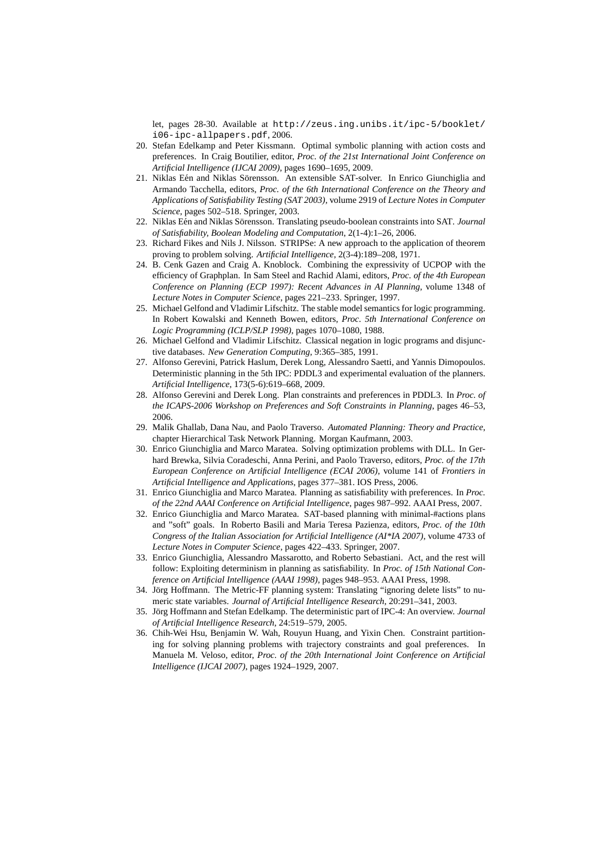let, pages 28-30. Available at http://zeus.ing.unibs.it/ipc-5/booklet/ i06-ipc-allpapers.pdf, 2006.

- 20. Stefan Edelkamp and Peter Kissmann. Optimal symbolic planning with action costs and preferences. In Craig Boutilier, editor, *Proc. of the 21st International Joint Conference on Artificial Intelligence (IJCAI 2009)*, pages 1690–1695, 2009.
- 21. Niklas Eén and Niklas Sörensson. An extensible SAT-solver. In Enrico Giunchiglia and Armando Tacchella, editors, *Proc. of the 6th International Conference on the Theory and Applications of Satisfiability Testing (SAT 2003)*, volume 2919 of *Lecture Notes in Computer Science*, pages 502–518. Springer, 2003.
- 22. Niklas Eén and Niklas Sörensson. Translating pseudo-boolean constraints into SAT. *Journal of Satisfiability, Boolean Modeling and Computation*, 2(1-4):1–26, 2006.
- 23. Richard Fikes and Nils J. Nilsson. STRIPSe: A new approach to the application of theorem proving to problem solving. *Artificial Intelligence*, 2(3-4):189–208, 1971.
- 24. B. Cenk Gazen and Craig A. Knoblock. Combining the expressivity of UCPOP with the efficiency of Graphplan. In Sam Steel and Rachid Alami, editors, *Proc. of the 4th European Conference on Planning (ECP 1997): Recent Advances in AI Planning*, volume 1348 of *Lecture Notes in Computer Science*, pages 221–233. Springer, 1997.
- 25. Michael Gelfond and Vladimir Lifschitz. The stable model semantics for logic programming. In Robert Kowalski and Kenneth Bowen, editors, *Proc. 5th International Conference on Logic Programming (ICLP/SLP 1998)*, pages 1070–1080, 1988.
- 26. Michael Gelfond and Vladimir Lifschitz. Classical negation in logic programs and disjunctive databases. *New Generation Computing*, 9:365–385, 1991.
- 27. Alfonso Gerevini, Patrick Haslum, Derek Long, Alessandro Saetti, and Yannis Dimopoulos. Deterministic planning in the 5th IPC: PDDL3 and experimental evaluation of the planners. *Artificial Intelligence*, 173(5-6):619–668, 2009.
- 28. Alfonso Gerevini and Derek Long. Plan constraints and preferences in PDDL3. In *Proc. of the ICAPS-2006 Workshop on Preferences and Soft Constraints in Planning*, pages 46–53, 2006.
- 29. Malik Ghallab, Dana Nau, and Paolo Traverso. *Automated Planning: Theory and Practice*, chapter Hierarchical Task Network Planning. Morgan Kaufmann, 2003.
- 30. Enrico Giunchiglia and Marco Maratea. Solving optimization problems with DLL. In Gerhard Brewka, Silvia Coradeschi, Anna Perini, and Paolo Traverso, editors, *Proc. of the 17th European Conference on Artificial Intelligence (ECAI 2006)*, volume 141 of *Frontiers in Artificial Intelligence and Applications*, pages 377–381. IOS Press, 2006.
- 31. Enrico Giunchiglia and Marco Maratea. Planning as satisfiability with preferences. In *Proc. of the 22nd AAAI Conference on Artificial Intelligence*, pages 987–992. AAAI Press, 2007.
- 32. Enrico Giunchiglia and Marco Maratea. SAT-based planning with minimal-#actions plans and "soft" goals. In Roberto Basili and Maria Teresa Pazienza, editors, *Proc. of the 10th Congress of the Italian Association for Artificial Intelligence (AI\*IA 2007)*, volume 4733 of *Lecture Notes in Computer Science*, pages 422–433. Springer, 2007.
- 33. Enrico Giunchiglia, Alessandro Massarotto, and Roberto Sebastiani. Act, and the rest will follow: Exploiting determinism in planning as satisfiability. In *Proc. of 15th National Conference on Artificial Intelligence (AAAI 1998)*, pages 948–953. AAAI Press, 1998.
- 34. Jörg Hoffmann. The Metric-FF planning system: Translating "ignoring delete lists" to numeric state variables. *Journal of Artificial Intelligence Research*, 20:291–341, 2003.
- 35. Jörg Hoffmann and Stefan Edelkamp. The deterministic part of IPC-4: An overview. *Journal of Artificial Intelligence Research*, 24:519–579, 2005.
- 36. Chih-Wei Hsu, Benjamin W. Wah, Rouyun Huang, and Yixin Chen. Constraint partitioning for solving planning problems with trajectory constraints and goal preferences. In Manuela M. Veloso, editor, *Proc. of the 20th International Joint Conference on Artificial Intelligence (IJCAI 2007)*, pages 1924–1929, 2007.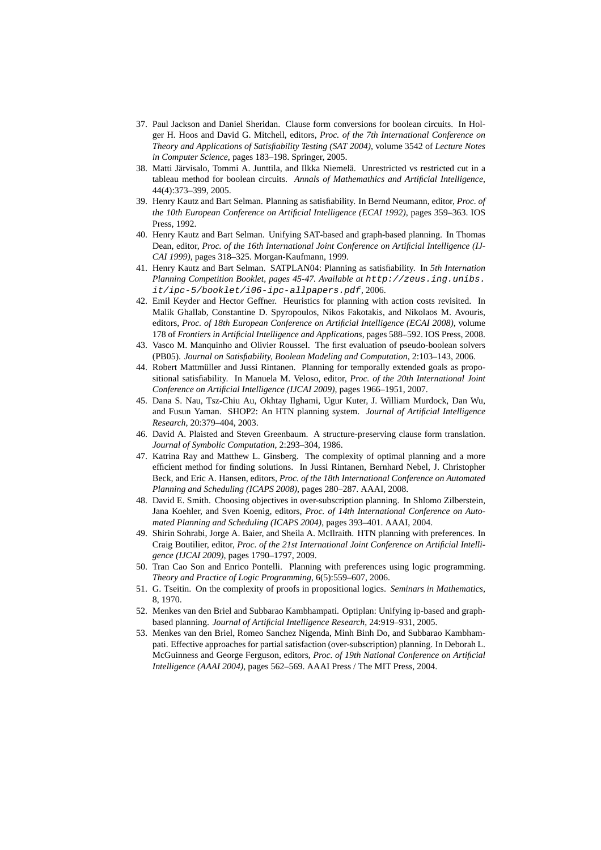- 37. Paul Jackson and Daniel Sheridan. Clause form conversions for boolean circuits. In Holger H. Hoos and David G. Mitchell, editors, *Proc. of the 7th International Conference on Theory and Applications of Satisfiability Testing (SAT 2004)*, volume 3542 of *Lecture Notes in Computer Science*, pages 183–198. Springer, 2005.
- 38. Matti Järvisalo, Tommi A. Junttila, and Ilkka Niemelä. Unrestricted vs restricted cut in a tableau method for boolean circuits. *Annals of Mathemathics and Artificial Intelligence*, 44(4):373–399, 2005.
- 39. Henry Kautz and Bart Selman. Planning as satisfiability. In Bernd Neumann, editor, *Proc. of the 10th European Conference on Artificial Intelligence (ECAI 1992)*, pages 359–363. IOS Press, 1992.
- 40. Henry Kautz and Bart Selman. Unifying SAT-based and graph-based planning. In Thomas Dean, editor, *Proc. of the 16th International Joint Conference on Artificial Intelligence (IJ-CAI 1999)*, pages 318–325. Morgan-Kaufmann, 1999.
- 41. Henry Kautz and Bart Selman. SATPLAN04: Planning as satisfiability. In *5th Internation Planning Competition Booklet, pages 45-47. Available at* http://zeus.ing.unibs. it/ipc-5/booklet/i06-ipc-allpapers.pdf, 2006.
- 42. Emil Keyder and Hector Geffner. Heuristics for planning with action costs revisited. In Malik Ghallab, Constantine D. Spyropoulos, Nikos Fakotakis, and Nikolaos M. Avouris, editors, *Proc. of 18th European Conference on Artificial Intelligence (ECAI 2008)*, volume 178 of *Frontiers in Artificial Intelligence and Applications*, pages 588–592. IOS Press, 2008.
- 43. Vasco M. Manquinho and Olivier Roussel. The first evaluation of pseudo-boolean solvers (PB05). *Journal on Satisfiability, Boolean Modeling and Computation*, 2:103–143, 2006.
- 44. Robert Mattmüller and Jussi Rintanen. Planning for temporally extended goals as propositional satisfiability. In Manuela M. Veloso, editor, *Proc. of the 20th International Joint Conference on Artificial Intelligence (IJCAI 2009)*, pages 1966–1951, 2007.
- 45. Dana S. Nau, Tsz-Chiu Au, Okhtay Ilghami, Ugur Kuter, J. William Murdock, Dan Wu, and Fusun Yaman. SHOP2: An HTN planning system. *Journal of Artificial Intelligence Research*, 20:379–404, 2003.
- 46. David A. Plaisted and Steven Greenbaum. A structure-preserving clause form translation. *Journal of Symbolic Computation*, 2:293–304, 1986.
- 47. Katrina Ray and Matthew L. Ginsberg. The complexity of optimal planning and a more efficient method for finding solutions. In Jussi Rintanen, Bernhard Nebel, J. Christopher Beck, and Eric A. Hansen, editors, *Proc. of the 18th International Conference on Automated Planning and Scheduling (ICAPS 2008)*, pages 280–287. AAAI, 2008.
- 48. David E. Smith. Choosing objectives in over-subscription planning. In Shlomo Zilberstein, Jana Koehler, and Sven Koenig, editors, *Proc. of 14th International Conference on Automated Planning and Scheduling (ICAPS 2004)*, pages 393–401. AAAI, 2004.
- 49. Shirin Sohrabi, Jorge A. Baier, and Sheila A. McIlraith. HTN planning with preferences. In Craig Boutilier, editor, *Proc. of the 21st International Joint Conference on Artificial Intelligence (IJCAI 2009)*, pages 1790–1797, 2009.
- 50. Tran Cao Son and Enrico Pontelli. Planning with preferences using logic programming. *Theory and Practice of Logic Programming*, 6(5):559–607, 2006.
- 51. G. Tseitin. On the complexity of proofs in propositional logics. *Seminars in Mathematics*, 8, 1970.
- 52. Menkes van den Briel and Subbarao Kambhampati. Optiplan: Unifying ip-based and graphbased planning. *Journal of Artificial Intelligence Research*, 24:919–931, 2005.
- 53. Menkes van den Briel, Romeo Sanchez Nigenda, Minh Binh Do, and Subbarao Kambhampati. Effective approaches for partial satisfaction (over-subscription) planning. In Deborah L. McGuinness and George Ferguson, editors, *Proc. of 19th National Conference on Artificial Intelligence (AAAI 2004)*, pages 562–569. AAAI Press / The MIT Press, 2004.